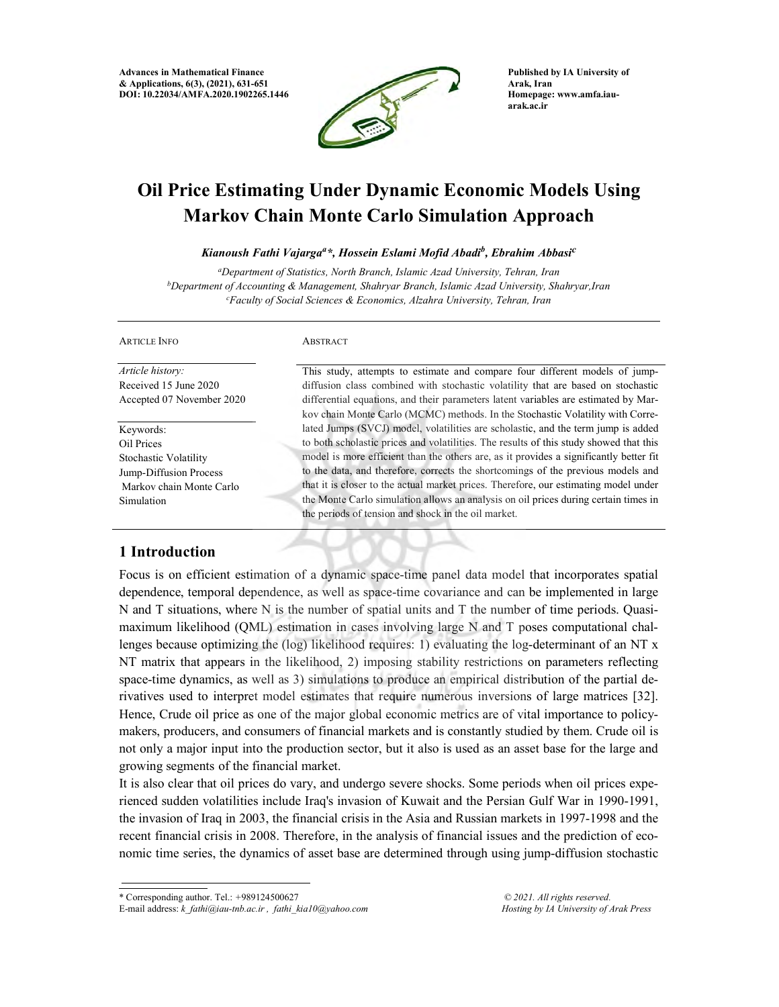Advances in Mathematical Finance & Applications, 6(3), (2021), 631-651 DOI: 10.22034/AMFA.2020.1902265.1446



Published by IA University of Arak, Iran Homepage: www.amfa.iauarak.ac.ir

the Monte Carlo simulation allows an analysis on oil prices during certain times in

# Oil Price Estimating Under Dynamic Economic Models Using Markov Chain Monte Carlo Simulation Approach

Kianoush Fathi Vajarga<sup>a</sup>\*, Hossein Eslami Mofid Abadi<sup>b</sup>, Ebrahim Abbasi<sup>c</sup>

<sup>a</sup>Department of Statistics, North Branch, Islamic Azad University, Tehran, Iran  $b$ Department of Accounting & Management, Shahryar Branch, Islamic Azad University, Shahryar, Iran <sup>c</sup>Faculty of Social Sciences & Economics, Alzahra University, Tehran, Iran

| <b>ARTICLE INFO</b>       | <b>ABSTRACT</b>                                                                        |
|---------------------------|----------------------------------------------------------------------------------------|
| <i>Article history:</i>   | This study, attempts to estimate and compare four different models of jump-            |
| Received 15 June 2020     | diffusion class combined with stochastic volatility that are based on stochastic       |
| Accepted 07 November 2020 | differential equations, and their parameters latent variables are estimated by Mar-    |
|                           | kov chain Monte Carlo (MCMC) methods. In the Stochastic Volatility with Corre-         |
| Keywords:                 | lated Jumps (SVCJ) model, volatilities are scholastic, and the term jump is added      |
| Oil Prices                | to both scholastic prices and volatilities. The results of this study showed that this |
| Stochastic Volatility     | model is more efficient than the others are, as it provides a significantly better fit |
| Jump-Diffusion Process    | to the data, and therefore, corrects the shortcomings of the previous models and       |
| Markov chain Monte Carlo  | that it is closer to the actual market prices. Therefore, our estimating model under   |

# 1 Introduction

Simulation

Focus is on efficient estimation of a dynamic space-time panel data model that incorporates spatial dependence, temporal dependence, as well as space-time covariance and can be implemented in large N and T situations, where N is the number of spatial units and T the number of time periods. Quasimaximum likelihood (QML) estimation in cases involving large N and T poses computational challenges because optimizing the (log) likelihood requires: 1) evaluating the log-determinant of an NT x NT matrix that appears in the likelihood, 2) imposing stability restrictions on parameters reflecting space-time dynamics, as well as 3) simulations to produce an empirical distribution of the partial derivatives used to interpret model estimates that require numerous inversions of large matrices [32]. Hence, Crude oil price as one of the major global economic metrics are of vital importance to policymakers, producers, and consumers of financial markets and is constantly studied by them. Crude oil is not only a major input into the production sector, but it also is used as an asset base for the large and growing segments of the financial market.

the periods of tension and shock in the oil market.

It is also clear that oil prices do vary, and undergo severe shocks. Some periods when oil prices experienced sudden volatilities include Iraq's invasion of Kuwait and the Persian Gulf War in 1990-1991, the invasion of Iraq in 2003, the financial crisis in the Asia and Russian markets in 1997-1998 and the recent financial crisis in 2008. Therefore, in the analysis of financial issues and the prediction of economic time series, the dynamics of asset base are determined through using jump-diffusion stochastic

<sup>\*</sup> Corresponding author. Tel.: +989124500627

E-mail address: k\_fathi@iau-tnb.ac.ir , fathi\_kia10@yahoo.com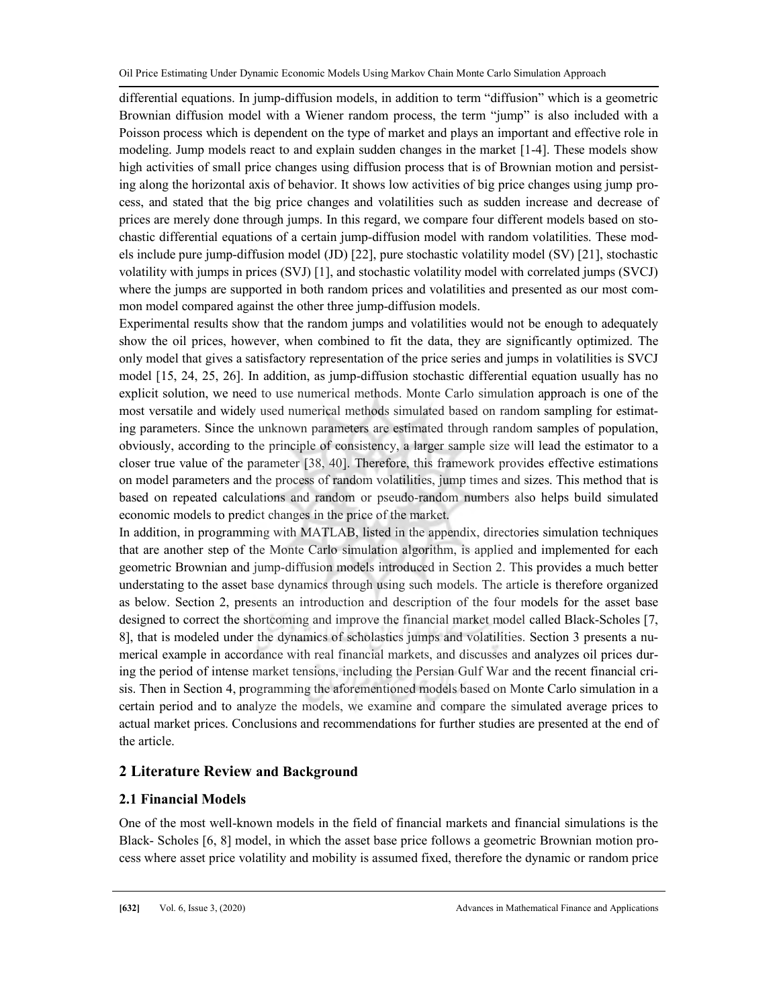differential equations. In jump-diffusion models, in addition to term "diffusion" which is a geometric Brownian diffusion model with a Wiener random process, the term "jump" is also included with a Poisson process which is dependent on the type of market and plays an important and effective role in modeling. Jump models react to and explain sudden changes in the market [1-4]. These models show high activities of small price changes using diffusion process that is of Brownian motion and persisting along the horizontal axis of behavior. It shows low activities of big price changes using jump process, and stated that the big price changes and volatilities such as sudden increase and decrease of prices are merely done through jumps. In this regard, we compare four different models based on stochastic differential equations of a certain jump-diffusion model with random volatilities. These models include pure jump-diffusion model (JD) [22], pure stochastic volatility model (SV) [21], stochastic volatility with jumps in prices (SVJ) [1], and stochastic volatility model with correlated jumps (SVCJ) where the jumps are supported in both random prices and volatilities and presented as our most common model compared against the other three jump-diffusion models.

Experimental results show that the random jumps and volatilities would not be enough to adequately show the oil prices, however, when combined to fit the data, they are significantly optimized. The only model that gives a satisfactory representation of the price series and jumps in volatilities is SVCJ model [15, 24, 25, 26]. In addition, as jump-diffusion stochastic differential equation usually has no explicit solution, we need to use numerical methods. Monte Carlo simulation approach is one of the most versatile and widely used numerical methods simulated based on random sampling for estimating parameters. Since the unknown parameters are estimated through random samples of population, obviously, according to the principle of consistency, a larger sample size will lead the estimator to a closer true value of the parameter [38, 40]. Therefore, this framework provides effective estimations on model parameters and the process of random volatilities, jump times and sizes. This method that is based on repeated calculations and random or pseudo-random numbers also helps build simulated economic models to predict changes in the price of the market.

In addition, in programming with MATLAB, listed in the appendix, directories simulation techniques that are another step of the Monte Carlo simulation algorithm, is applied and implemented for each geometric Brownian and jump-diffusion models introduced in Section 2. This provides a much better understating to the asset base dynamics through using such models. The article is therefore organized as below. Section 2, presents an introduction and description of the four models for the asset base designed to correct the shortcoming and improve the financial market model called Black-Scholes [7, 8], that is modeled under the dynamics of scholastics jumps and volatilities. Section 3 presents a numerical example in accordance with real financial markets, and discusses and analyzes oil prices during the period of intense market tensions, including the Persian Gulf War and the recent financial crisis. Then in Section 4, programming the aforementioned models based on Monte Carlo simulation in a certain period and to analyze the models, we examine and compare the simulated average prices to actual market prices. Conclusions and recommendations for further studies are presented at the end of the article.

## 2 Literature Review and Background

## 2.1 Financial Models

One of the most well-known models in the field of financial markets and financial simulations is the Black- Scholes [6, 8] model, in which the asset base price follows a geometric Brownian motion process where asset price volatility and mobility is assumed fixed, therefore the dynamic or random price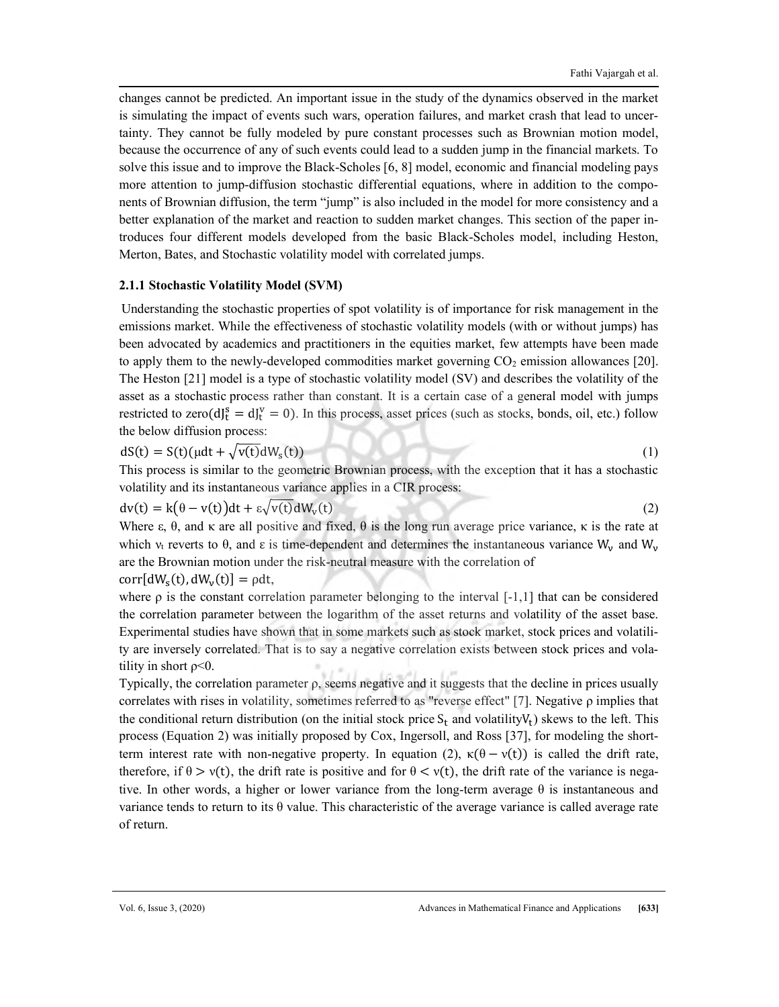changes cannot be predicted. An important issue in the study of the dynamics observed in the market is simulating the impact of events such wars, operation failures, and market crash that lead to uncertainty. They cannot be fully modeled by pure constant processes such as Brownian motion model, because the occurrence of any of such events could lead to a sudden jump in the financial markets. To solve this issue and to improve the Black-Scholes [6, 8] model, economic and financial modeling pays more attention to jump-diffusion stochastic differential equations, where in addition to the components of Brownian diffusion, the term "jump" is also included in the model for more consistency and a better explanation of the market and reaction to sudden market changes. This section of the paper introduces four different models developed from the basic Black-Scholes model, including Heston, Merton, Bates, and Stochastic volatility model with correlated jumps.

#### 2.1.1 Stochastic Volatility Model (SVM)

Understanding the stochastic properties of spot volatility is of importance for risk management in the emissions market. While the effectiveness of stochastic volatility models (with or without jumps) has been advocated by academics and practitioners in the equities market, few attempts have been made to apply them to the newly-developed commodities market governing  $CO<sub>2</sub>$  emission allowances [20]. The Heston [21] model is a type of stochastic volatility model (SV) and describes the volatility of the asset as a stochastic process rather than constant. It is a certain case of a general model with jumps restricted to zero( $df_t^s = df_t^v = 0$ ). In this process, asset prices (such as stocks, bonds, oil, etc.) follow the below diffusion process:

$$
dS(t) = S(t)(\mu dt + \sqrt{v(t)}dW_s(t))
$$
\n(1)

This process is similar to the geometric Brownian process, with the exception that it has a stochastic volatility and its instantaneous variance applies in a CIR process:

$$
dv(t) = k(\theta - v(t))dt + \varepsilon \sqrt{v(t)}dW_v(t)
$$
\n(2)

Where  $\varepsilon$ ,  $\theta$ , and  $\kappa$  are all positive and fixed,  $\theta$  is the long run average price variance,  $\kappa$  is the rate at which  $v_t$  reverts to  $\theta$ , and  $\varepsilon$  is time-dependent and determines the instantaneous variance W<sub>v</sub> and W<sub>v</sub> are the Brownian motion under the risk-neutral measure with the correlation of

 $corr[dW<sub>s</sub>(t), dW<sub>v</sub>(t)] = \rho dt$ ,

where  $\rho$  is the constant correlation parameter belonging to the interval [-1,1] that can be considered the correlation parameter between the logarithm of the asset returns and volatility of the asset base. Experimental studies have shown that in some markets such as stock market, stock prices and volatility are inversely correlated. That is to say a negative correlation exists between stock prices and volatility in short  $\rho$ <0.

Typically, the correlation parameter ρ, seems negative and it suggests that the decline in prices usually correlates with rises in volatility, sometimes referred to as "reverse effect" [7]. Negative ρ implies that the conditional return distribution (on the initial stock price  $S_t$  and volatility  $V_t$ ) skews to the left. This process (Equation 2) was initially proposed by Cox, Ingersoll, and Ross [37], for modeling the shortterm interest rate with non-negative property. In equation (2),  $\kappa(\theta - v(t))$  is called the drift rate, therefore, if  $\theta > v(t)$ , the drift rate is positive and for  $\theta < v(t)$ , the drift rate of the variance is negative. In other words, a higher or lower variance from the long-term average  $\theta$  is instantaneous and variance tends to return to its  $\theta$  value. This characteristic of the average variance is called average rate of return.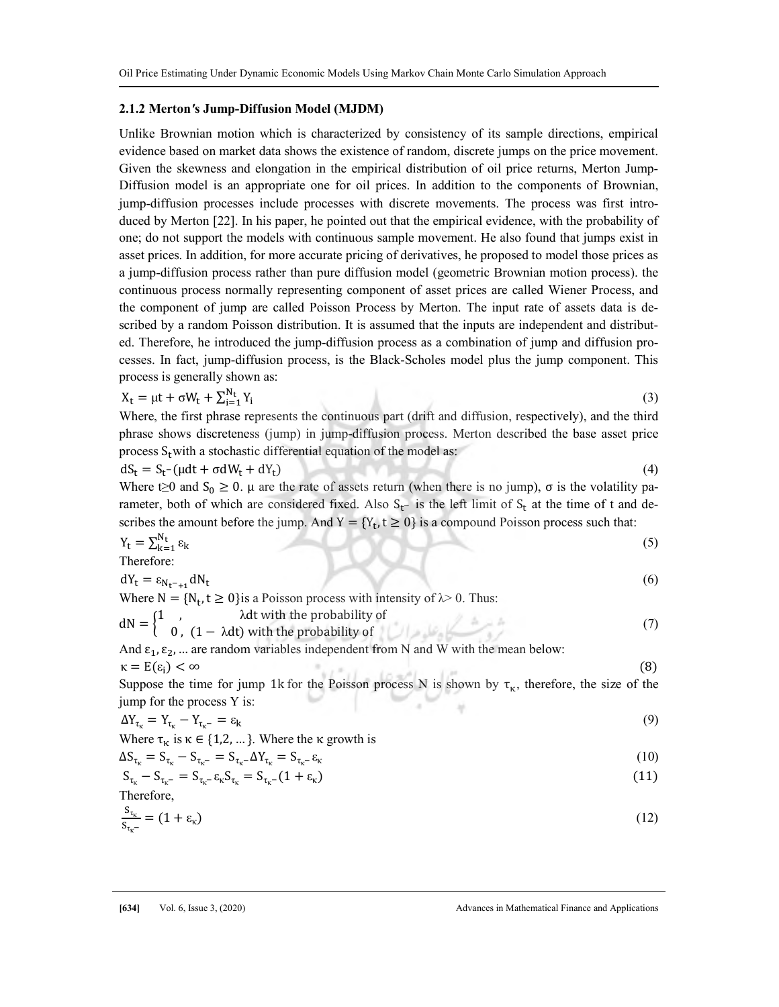#### 2.1.2 Merton's Jump-Diffusion Model (MJDM)

Unlike Brownian motion which is characterized by consistency of its sample directions, empirical evidence based on market data shows the existence of random, discrete jumps on the price movement. Given the skewness and elongation in the empirical distribution of oil price returns, Merton Jump-Diffusion model is an appropriate one for oil prices. In addition to the components of Brownian, jump-diffusion processes include processes with discrete movements. The process was first introduced by Merton [22]. In his paper, he pointed out that the empirical evidence, with the probability of one; do not support the models with continuous sample movement. He also found that jumps exist in asset prices. In addition, for more accurate pricing of derivatives, he proposed to model those prices as a jump-diffusion process rather than pure diffusion model (geometric Brownian motion process). the continuous process normally representing component of asset prices are called Wiener Process, and the component of jump are called Poisson Process by Merton. The input rate of assets data is described by a random Poisson distribution. It is assumed that the inputs are independent and distributed. Therefore, he introduced the jump-diffusion process as a combination of jump and diffusion processes. In fact, jump-diffusion process, is the Black-Scholes model plus the jump component. This process is generally shown as:

$$
X_t = \mu t + \sigma W_t + \sum_{i=1}^{N_t} Y_i \tag{3}
$$

Where, the first phrase represents the continuous part (drift and diffusion, respectively), and the third phrase shows discreteness (jump) in jump-diffusion process. Merton described the base asset price process  $S_t$  with a stochastic differential equation of the model as:

$$
dS_t = S_t - (\mu dt + \sigma dW_t + dY_t)
$$
 (4)

Where t≥0 and  $S_0 \ge 0$ .  $\mu$  are the rate of assets return (when there is no jump),  $\sigma$  is the volatility parameter, both of which are considered fixed. Also  $S_t$ - is the left limit of  $S_t$  at the time of t and describes the amount before the jump. And  $Y = \{Y_t, t \ge 0\}$  is a compound Poisson process such that:

$$
Y_t = \sum_{k=1}^{N_t} \varepsilon_k
$$
  
Therefore:  

$$
dY_t = \varepsilon_{N_t-\varepsilon_1} dN_t
$$
 (5)

Where  $N = \{N_t, t \ge 0\}$ is a Poisson process with intensity of  $\lambda > 0$ . Thus:  $dN = \begin{cases} 1, & \text{if } k \neq 0, \ (1 - \lambda dt) \text{ with the probability of } \\ 0, & (1 - \lambda dt) \end{cases}$  (7)

And  $\varepsilon_1$ ,  $\varepsilon_2$ , ... are random variables independent from N and W with the mean below:  $\kappa = E(\varepsilon_i) < \infty$  (8)

Suppose the time for jump 1k for the Poisson process N is shown by  $\tau_{\kappa}$ , therefore, the size of the innum for the arguments  $X$  is: jump for the process Y is:

$$
\Delta Y_{\tau_{k}} = Y_{\tau_{k}} - Y_{\tau_{k}^{-}} = \varepsilon_{k} \tag{9}
$$

Where  $\tau_{\kappa}$  is  $\kappa \in \{1,2,...\}$ . Where the  $\kappa$  growth is

$$
\Delta S_{\tau_{\kappa}} = S_{\tau_{\kappa}} - S_{\tau_{\kappa}^{-}} = S_{\tau_{\kappa}^{-}} \Delta Y_{\tau_{\kappa}} = S_{\tau_{\kappa}^{-}} \varepsilon_{\kappa}
$$
\n(10)

$$
S_{\tau_{\kappa}} - S_{\tau_{\kappa} -}} = S_{\tau_{\kappa} -} \varepsilon_{\kappa} S_{\tau_{\kappa}} = S_{\tau_{\kappa} -} (1 + \varepsilon_{\kappa})
$$
\n(11)

\nTherefore,

$$
\frac{S_{\tau_{\kappa}}}{S_{\tau_{\kappa^{-}}} } = (1 + \varepsilon_{\kappa}) \tag{12}
$$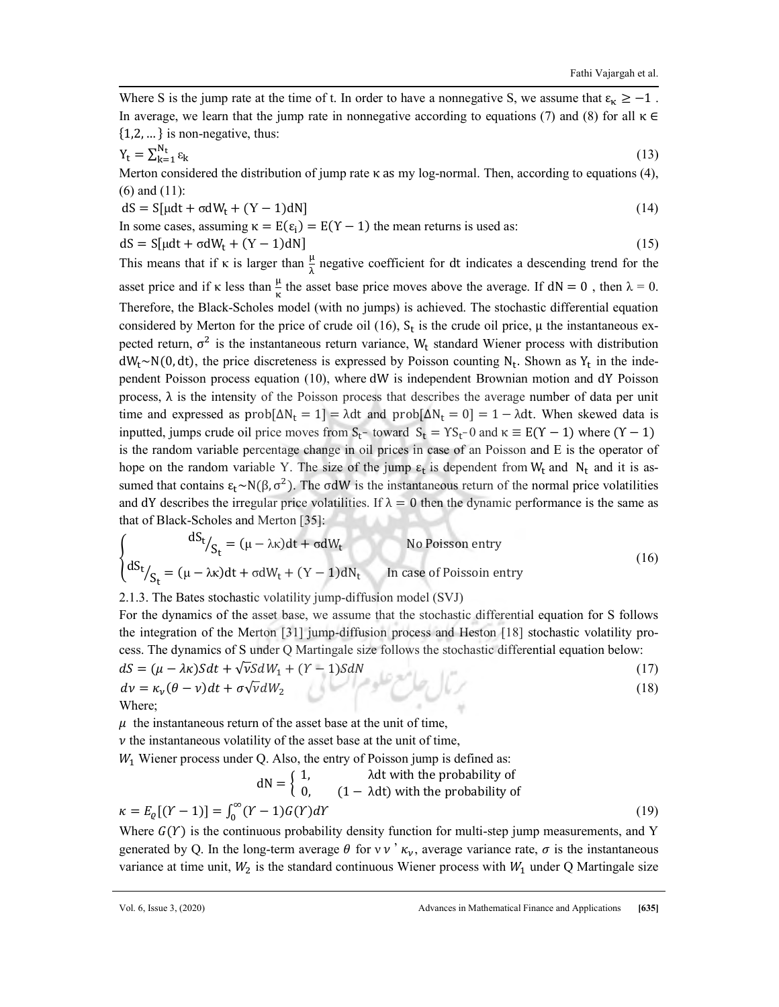Where S is the jump rate at the time of t. In order to have a nonnegative S, we assume that  $\varepsilon_{\kappa} \ge -1$ . In average, we learn that the jump rate in nonnegative according to equations (7) and (8) for all  $\kappa \in$  $\{1,2,...\}$  is non-negative, thus:

$$
Y_t = \sum_{k=1}^{N_t} \varepsilon_k \tag{13}
$$

Merton considered the distribution of jump rate κ as my log-normal. Then, according to equations (4), (6) and (11):

$$
dS = S[\mu dt + \sigma dW_t + (Y - 1)dN]
$$
\n(14)

In some cases, assuming  $\kappa = E(\epsilon_i) = E(Y - 1)$  the mean returns is used as:

$$
dS = S[\mu dt + \sigma dW_t + (Y - 1)dN]
$$
\n(15)

This means that if  $\kappa$  is larger than  $\frac{\mu}{\lambda}$  negative coefficient for dt indicates a descending trend for the asset price and if  $\kappa$  less than  $\frac{\mu}{\kappa}$  the asset base price moves above the average. If  $dN = 0$ , then  $\lambda = 0$ . Therefore, the Black-Scholes model (with no jumps) is achieved. The stochastic differential equation considered by Merton for the price of crude oil (16),  $S_t$  is the crude oil price,  $\mu$  the instantaneous expected return,  $\sigma^2$  is the instantaneous return variance, W<sub>t</sub> standard Wiener process with distribution  $dW_t \sim N(0, dt)$ , the price discreteness is expressed by Poisson counting N<sub>t</sub>. Shown as Y<sub>t</sub> in the independent Poisson process equation (10), where dW is independent Brownian motion and dY Poisson process, λ is the intensity of the Poisson process that describes the average number of data per unit time and expressed as  $prob[\Delta N_t = 1] = \lambda dt$  and  $prob[\Delta N_t = 0] = 1 - \lambda dt$ . When skewed data is inputted, jumps crude oil price moves from  $S_t$ - toward  $S_t = YS_t$ - 0 and  $\kappa \equiv E(Y - 1)$  where  $(Y - 1)$ is the random variable percentage change in oil prices in case of an Poisson and E is the operator of hope on the random variable Y. The size of the jump  $\varepsilon_t$  is dependent from  $W_t$  and  $N_t$  and it is assumed that contains  $\epsilon_t \sim N(\beta, \sigma^2)$ . The  $\sigma dW$  is the instantaneous return of the normal price volatilities and dY describes the irregular price volatilities. If  $\lambda = 0$  then the dynamic performance is the same as that of Black-Scholes and Merton [35]:

$$
\begin{cases} dS_t /_{S_t} = (\mu - \lambda \kappa) dt + \sigma dW_t \qquad \text{No Poisson entry} \\ dS_t /_{S_t} = (\mu - \lambda \kappa) dt + \sigma dW_t + (Y - 1) dN_t \qquad \text{In case of Poisson entry} \end{cases}
$$
 (16)

2.1.3. The Bates stochastic volatility jump-diffusion model (SVJ)

For the dynamics of the asset base, we assume that the stochastic differential equation for S follows the integration of the Merton [31] jump-diffusion process and Heston [18] stochastic volatility process. The dynamics of S under Q Martingale size follows the stochastic differential equation below:

$$
dS = (\mu - \lambda \kappa) S dt + \sqrt{\nu} S dW_1 + (Y - 1) S dN
$$
  
\n
$$
dv = \kappa_{\nu} (\theta - \nu) dt + \sigma \sqrt{\nu} dW_2
$$
\n(17)  
\nWhere:

Where;

 $\mu$  the instantaneous return of the asset base at the unit of time,

 $\nu$  the instantaneous volatility of the asset base at the unit of time,

 $W<sub>1</sub>$  Wiener process under Q. Also, the entry of Poisson jump is defined as:

$$
dN = \begin{cases} 1, & \text{and } \text{with the probability of} \\ 0, & (1 - \text{)}, \text{with the probability of} \end{cases}
$$
\n
$$
\kappa = E_{\varrho}[(Y - 1)] = \int_0^\infty (Y - 1)G(Y)dY \tag{19}
$$

Where  $G(Y)$  is the continuous probability density function for multi-step jump measurements, and Y generated by Q. In the long-term average  $\theta$  for v  $\nu$   $\kappa_{\nu}$ , average variance rate,  $\sigma$  is the instantaneous variance at time unit,  $W_2$  is the standard continuous Wiener process with  $W_1$  under Q Martingale size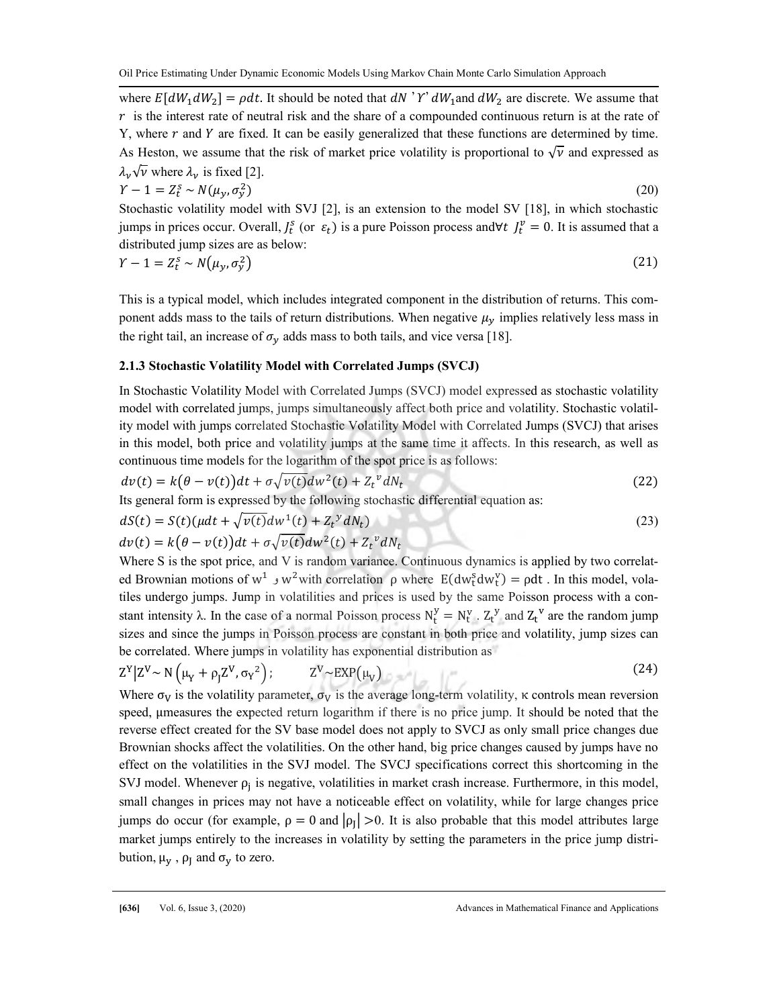where  $E[dW_1 dW_2] = \rho dt$ . It should be noted that  $dN'Y' dW_1$  and  $dW_2$  are discrete. We assume that  $r$  is the interest rate of neutral risk and the share of a compounded continuous return is at the rate of Y, where  $r$  and  $Y$  are fixed. It can be easily generalized that these functions are determined by time. As Heston, we assume that the risk of market price volatility is proportional to  $\sqrt{\nu}$  and expressed as  $\lambda_v \sqrt{v}$  where  $\lambda_v$  is fixed [2].

$$
Y - 1 = Z_t^s \sim N(\mu_y, \sigma_y^2) \tag{20}
$$

Stochastic volatility model with SVJ [2], is an extension to the model SV [18], in which stochastic jumps in prices occur. Overall,  $J_t^s$  (or  $\varepsilon_t$ ) is a pure Poisson process and∀t  $J_t^v = 0$ . It is assumed that a distributed jump sizes are as below:

$$
Y - 1 = Z_t^s \sim N(\mu_y, \sigma_y^2) \tag{21}
$$

This is a typical model, which includes integrated component in the distribution of returns. This component adds mass to the tails of return distributions. When negative  $\mu<sub>v</sub>$  implies relatively less mass in the right tail, an increase of  $\sigma_v$  adds mass to both tails, and vice versa [18].

#### 2.1.3 Stochastic Volatility Model with Correlated Jumps (SVCJ)

In Stochastic Volatility Model with Correlated Jumps (SVCJ) model expressed as stochastic volatility model with correlated jumps, jumps simultaneously affect both price and volatility. Stochastic volatility model with jumps correlated Stochastic Volatility Model with Correlated Jumps (SVCJ) that arises in this model, both price and volatility jumps at the same time it affects. In this research, as well as continuous time models for the logarithm of the spot price is as follows:

$$
dv(t) = k(\theta - v(t))dt + \sigma\sqrt{v(t)}dw^2(t) + Z_t^{\nu}dN_t
$$
\n(22)

Its general form is expressed by the following stochastic differential equation as:

$$
dS(t) = S(t)(\mu dt + \sqrt{\nu(t)}dw^{1}(t) + Z_{t}^{y}dN_{t})
$$
\n(23)

$$
dv(t) = k(\theta - v(t))dt + \sigma\sqrt{v(t)}dw^2(t) + Z_t^{\nu}dN_t
$$

Where S is the spot price, and V is random variance. Continuous dynamics is applied by two correlated Brownian motions of w<sup>1</sup>  $\vee$  w<sup>2</sup> with correlation ρ where  $E(dw_t^S dw_t^V) = \rho dt$ . In this model, volatiles undergo jumps. Jump in volatilities and prices is used by the same Poisson process with a constant intensity  $\lambda$ . In the case of a normal Poisson process  $N_t^y = N_t^v$ .  $Z_t^y$  and  $Z_t^v$  are the random jump sizes and since the jumps in Poisson process are constant in both price and volatility, jump sizes can be correlated. Where jumps in volatility has exponential distribution as

$$
Z^{Y}|Z^{V} \sim N(\mu_{Y} + \rho_{J}Z^{V}, \sigma_{Y}^{2}); \qquad Z^{V} \sim EXP(\mu_{V})
$$
 (24)

Where  $\sigma_V$  is the volatility parameter,  $\sigma_V$  is the average long-term volatility, κ controls mean reversion speed, μmeasures the expected return logarithm if there is no price jump. It should be noted that the reverse effect created for the SV base model does not apply to SVCJ as only small price changes due Brownian shocks affect the volatilities. On the other hand, big price changes caused by jumps have no effect on the volatilities in the SVJ model. The SVCJ specifications correct this shortcoming in the SVJ model. Whenever  $\rho_j$  is negative, volatilities in market crash increase. Furthermore, in this model, small changes in prices may not have a noticeable effect on volatility, while for large changes price jumps do occur (for example,  $\rho = 0$  and  $|\rho_I| > 0$ . It is also probable that this model attributes large market jumps entirely to the increases in volatility by setting the parameters in the price jump distribution,  $\mu_y$ ,  $\rho_y$  and  $\sigma_y$  to zero.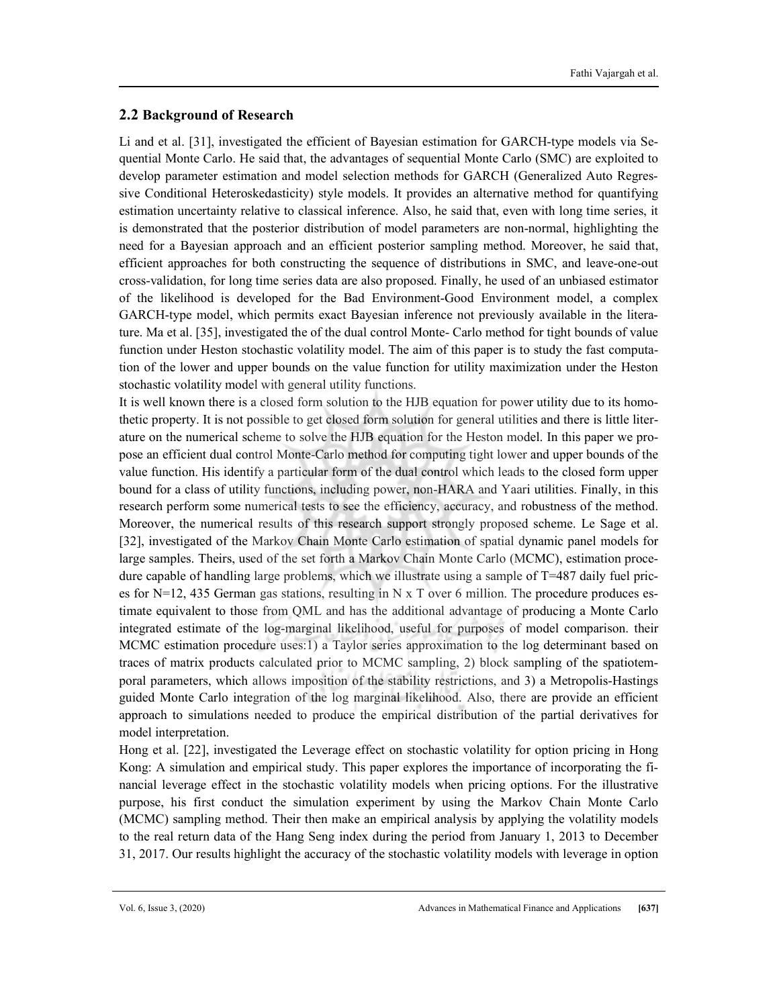# 2.2 Background of Research

Li and et al. [31], investigated the efficient of Bayesian estimation for GARCH-type models via Sequential Monte Carlo. He said that, the advantages of sequential Monte Carlo (SMC) are exploited to develop parameter estimation and model selection methods for GARCH (Generalized Auto Regressive Conditional Heteroskedasticity) style models. It provides an alternative method for quantifying estimation uncertainty relative to classical inference. Also, he said that, even with long time series, it is demonstrated that the posterior distribution of model parameters are non-normal, highlighting the need for a Bayesian approach and an efficient posterior sampling method. Moreover, he said that, efficient approaches for both constructing the sequence of distributions in SMC, and leave-one-out cross-validation, for long time series data are also proposed. Finally, he used of an unbiased estimator of the likelihood is developed for the Bad Environment-Good Environment model, a complex GARCH-type model, which permits exact Bayesian inference not previously available in the literature. Ma et al. [35], investigated the of the dual control Monte- Carlo method for tight bounds of value function under Heston stochastic volatility model. The aim of this paper is to study the fast computation of the lower and upper bounds on the value function for utility maximization under the Heston stochastic volatility model with general utility functions.

It is well known there is a closed form solution to the HJB equation for power utility due to its homothetic property. It is not possible to get closed form solution for general utilities and there is little literature on the numerical scheme to solve the HJB equation for the Heston model. In this paper we propose an efficient dual control Monte-Carlo method for computing tight lower and upper bounds of the value function. His identify a particular form of the dual control which leads to the closed form upper bound for a class of utility functions, including power, non-HARA and Yaari utilities. Finally, in this research perform some numerical tests to see the efficiency, accuracy, and robustness of the method. Moreover, the numerical results of this research support strongly proposed scheme. Le Sage et al. [32], investigated of the Markov Chain Monte Carlo estimation of spatial dynamic panel models for large samples. Theirs, used of the set forth a Markov Chain Monte Carlo (MCMC), estimation procedure capable of handling large problems, which we illustrate using a sample of T=487 daily fuel prices for N=12, 435 German gas stations, resulting in N  $x$  T over 6 million. The procedure produces estimate equivalent to those from QML and has the additional advantage of producing a Monte Carlo integrated estimate of the log-marginal likelihood, useful for purposes of model comparison. their MCMC estimation procedure uses:1) a Taylor series approximation to the log determinant based on traces of matrix products calculated prior to MCMC sampling, 2) block sampling of the spatiotemporal parameters, which allows imposition of the stability restrictions, and 3) a Metropolis-Hastings guided Monte Carlo integration of the log marginal likelihood. Also, there are provide an efficient approach to simulations needed to produce the empirical distribution of the partial derivatives for model interpretation.

Hong et al. [22], investigated the Leverage effect on stochastic volatility for option pricing in Hong Kong: A simulation and empirical study. This paper explores the importance of incorporating the financial leverage effect in the stochastic volatility models when pricing options. For the illustrative purpose, his first conduct the simulation experiment by using the Markov Chain Monte Carlo (MCMC) sampling method. Their then make an empirical analysis by applying the volatility models to the real return data of the Hang Seng index during the period from January 1, 2013 to December 31, 2017. Our results highlight the accuracy of the stochastic volatility models with leverage in option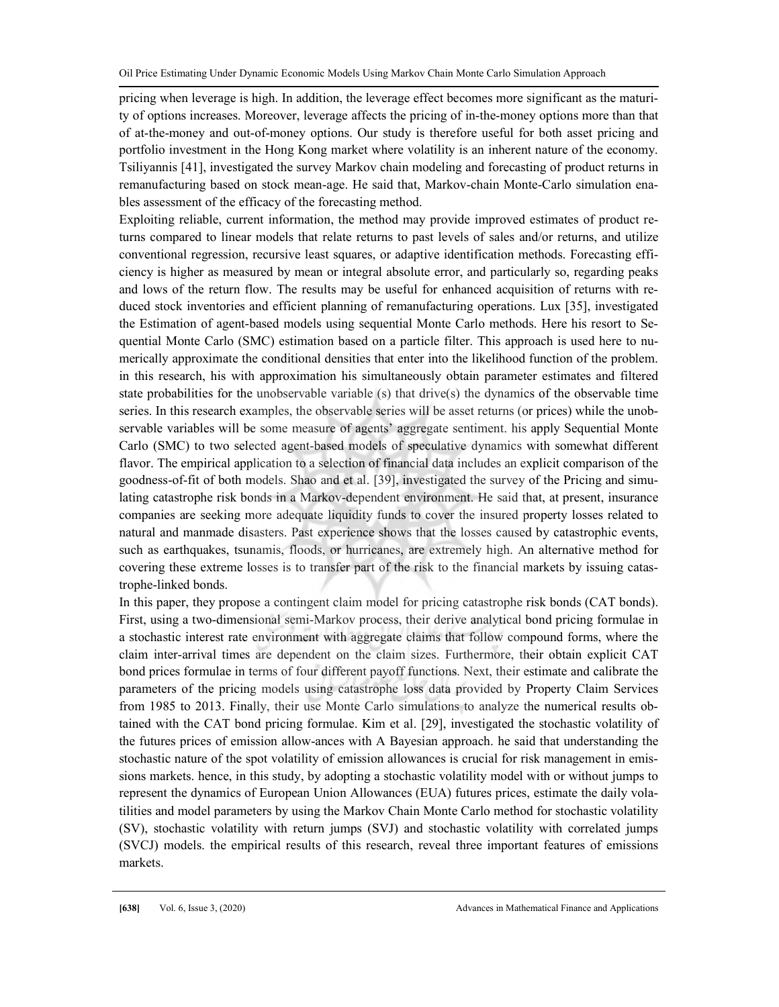pricing when leverage is high. In addition, the leverage effect becomes more significant as the maturity of options increases. Moreover, leverage affects the pricing of in-the-money options more than that of at-the-money and out-of-money options. Our study is therefore useful for both asset pricing and portfolio investment in the Hong Kong market where volatility is an inherent nature of the economy. Tsiliyannis [41], investigated the survey Markov chain modeling and forecasting of product returns in remanufacturing based on stock mean-age. He said that, Markov-chain Monte-Carlo simulation enables assessment of the efficacy of the forecasting method.

Exploiting reliable, current information, the method may provide improved estimates of product returns compared to linear models that relate returns to past levels of sales and/or returns, and utilize conventional regression, recursive least squares, or adaptive identification methods. Forecasting efficiency is higher as measured by mean or integral absolute error, and particularly so, regarding peaks and lows of the return flow. The results may be useful for enhanced acquisition of returns with reduced stock inventories and efficient planning of remanufacturing operations. Lux [35], investigated the Estimation of agent-based models using sequential Monte Carlo methods. Here his resort to Sequential Monte Carlo (SMC) estimation based on a particle filter. This approach is used here to numerically approximate the conditional densities that enter into the likelihood function of the problem. in this research, his with approximation his simultaneously obtain parameter estimates and filtered state probabilities for the unobservable variable (s) that drive(s) the dynamics of the observable time series. In this research examples, the observable series will be asset returns (or prices) while the unobservable variables will be some measure of agents' aggregate sentiment. his apply Sequential Monte Carlo (SMC) to two selected agent-based models of speculative dynamics with somewhat different flavor. The empirical application to a selection of financial data includes an explicit comparison of the goodness-of-fit of both models. Shao and et al. [39], investigated the survey of the Pricing and simulating catastrophe risk bonds in a Markov-dependent environment. He said that, at present, insurance companies are seeking more adequate liquidity funds to cover the insured property losses related to natural and manmade disasters. Past experience shows that the losses caused by catastrophic events, such as earthquakes, tsunamis, floods, or hurricanes, are extremely high. An alternative method for covering these extreme losses is to transfer part of the risk to the financial markets by issuing catastrophe-linked bonds.

In this paper, they propose a contingent claim model for pricing catastrophe risk bonds (CAT bonds). First, using a two-dimensional semi-Markov process, their derive analytical bond pricing formulae in a stochastic interest rate environment with aggregate claims that follow compound forms, where the claim inter-arrival times are dependent on the claim sizes. Furthermore, their obtain explicit CAT bond prices formulae in terms of four different payoff functions. Next, their estimate and calibrate the parameters of the pricing models using catastrophe loss data provided by Property Claim Services from 1985 to 2013. Finally, their use Monte Carlo simulations to analyze the numerical results obtained with the CAT bond pricing formulae. Kim et al. [29], investigated the stochastic volatility of the futures prices of emission allow-ances with A Bayesian approach. he said that understanding the stochastic nature of the spot volatility of emission allowances is crucial for risk management in emissions markets. hence, in this study, by adopting a stochastic volatility model with or without jumps to represent the dynamics of European Union Allowances (EUA) futures prices, estimate the daily volatilities and model parameters by using the Markov Chain Monte Carlo method for stochastic volatility (SV), stochastic volatility with return jumps (SVJ) and stochastic volatility with correlated jumps (SVCJ) models. the empirical results of this research, reveal three important features of emissions markets.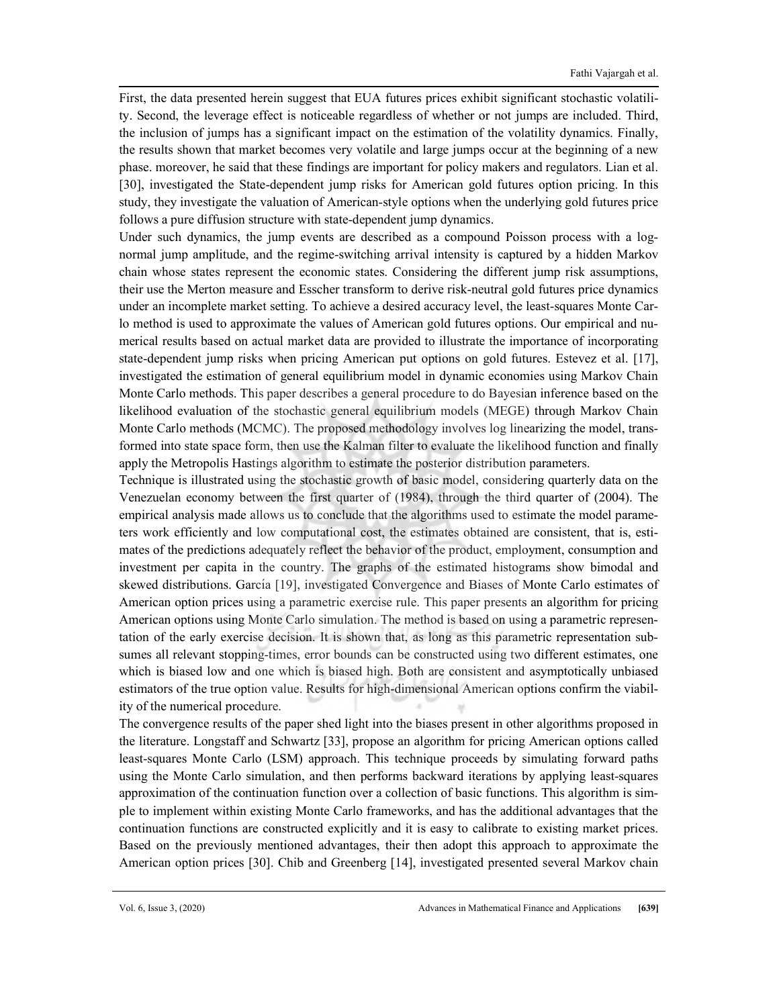First, the data presented herein suggest that EUA futures prices exhibit significant stochastic volatility. Second, the leverage effect is noticeable regardless of whether or not jumps are included. Third, the inclusion of jumps has a significant impact on the estimation of the volatility dynamics. Finally, the results shown that market becomes very volatile and large jumps occur at the beginning of a new phase. moreover, he said that these findings are important for policy makers and regulators. Lian et al. [30], investigated the State-dependent jump risks for American gold futures option pricing. In this study, they investigate the valuation of American-style options when the underlying gold futures price follows a pure diffusion structure with state-dependent jump dynamics.

Under such dynamics, the jump events are described as a compound Poisson process with a lognormal jump amplitude, and the regime-switching arrival intensity is captured by a hidden Markov chain whose states represent the economic states. Considering the different jump risk assumptions, their use the Merton measure and Esscher transform to derive risk-neutral gold futures price dynamics under an incomplete market setting. To achieve a desired accuracy level, the least-squares Monte Carlo method is used to approximate the values of American gold futures options. Our empirical and numerical results based on actual market data are provided to illustrate the importance of incorporating state-dependent jump risks when pricing American put options on gold futures. Estevez et al. [17], investigated the estimation of general equilibrium model in dynamic economies using Markov Chain Monte Carlo methods. This paper describes a general procedure to do Bayesian inference based on the likelihood evaluation of the stochastic general equilibrium models (MEGE) through Markov Chain Monte Carlo methods (MCMC). The proposed methodology involves log linearizing the model, transformed into state space form, then use the Kalman filter to evaluate the likelihood function and finally apply the Metropolis Hastings algorithm to estimate the posterior distribution parameters.

Technique is illustrated using the stochastic growth of basic model, considering quarterly data on the Venezuelan economy between the first quarter of (1984), through the third quarter of (2004). The empirical analysis made allows us to conclude that the algorithms used to estimate the model parameters work efficiently and low computational cost, the estimates obtained are consistent, that is, estimates of the predictions adequately reflect the behavior of the product, employment, consumption and investment per capita in the country. The graphs of the estimated histograms show bimodal and skewed distributions. García [19], investigated Convergence and Biases of Monte Carlo estimates of American option prices using a parametric exercise rule. This paper presents an algorithm for pricing American options using Monte Carlo simulation. The method is based on using a parametric representation of the early exercise decision. It is shown that, as long as this parametric representation subsumes all relevant stopping-times, error bounds can be constructed using two different estimates, one which is biased low and one which is biased high. Both are consistent and asymptotically unbiased estimators of the true option value. Results for high-dimensional American options confirm the viability of the numerical procedure.

The convergence results of the paper shed light into the biases present in other algorithms proposed in the literature. Longstaff and Schwartz [33], propose an algorithm for pricing American options called least-squares Monte Carlo (LSM) approach. This technique proceeds by simulating forward paths using the Monte Carlo simulation, and then performs backward iterations by applying least-squares approximation of the continuation function over a collection of basic functions. This algorithm is simple to implement within existing Monte Carlo frameworks, and has the additional advantages that the continuation functions are constructed explicitly and it is easy to calibrate to existing market prices. Based on the previously mentioned advantages, their then adopt this approach to approximate the American option prices [30]. Chib and Greenberg [14], investigated presented several Markov chain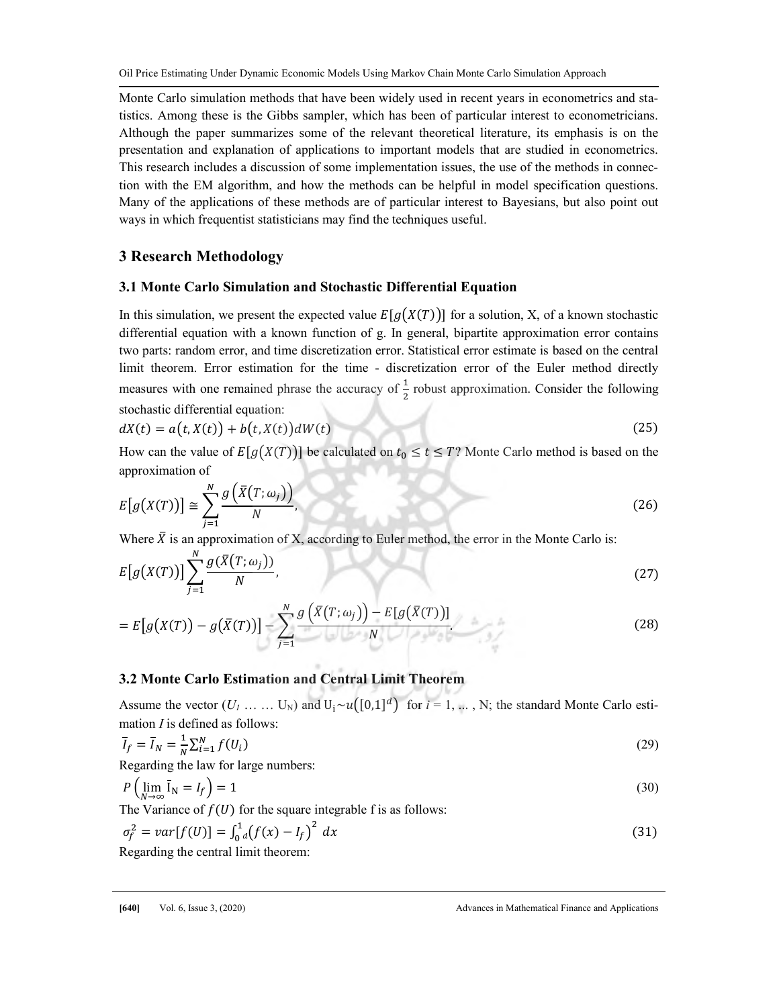Monte Carlo simulation methods that have been widely used in recent years in econometrics and statistics. Among these is the Gibbs sampler, which has been of particular interest to econometricians. Although the paper summarizes some of the relevant theoretical literature, its emphasis is on the presentation and explanation of applications to important models that are studied in econometrics. This research includes a discussion of some implementation issues, the use of the methods in connection with the EM algorithm, and how the methods can be helpful in model specification questions. Many of the applications of these methods are of particular interest to Bayesians, but also point out ways in which frequentist statisticians may find the techniques useful.

# 3 Research Methodology

## 3.1 Monte Carlo Simulation and Stochastic Differential Equation

In this simulation, we present the expected value  $E[g(X(T))]$  for a solution, X, of a known stochastic differential equation with a known function of g. In general, bipartite approximation error contains two parts: random error, and time discretization error. Statistical error estimate is based on the central limit theorem. Error estimation for the time - discretization error of the Euler method directly measures with one remained phrase the accuracy of  $\frac{1}{2}$  robust approximation. Consider the following stochastic differential equation:

$$
dX(t) = a(t, X(t)) + b(t, X(t))dW(t)
$$
\n(25)

How can the value of  $E[g(X(T))]$  be calculated on  $t_0 \le t \le T$ ? Monte Carlo method is based on the approximation of

$$
E[g(X(T))] \cong \sum_{j=1}^{N} \frac{g(\bar{X}(T; \omega_j))}{N},
$$
\n(26)

Where  $\bar{X}$  is an approximation of X, according to Euler method, the error in the Monte Carlo is:

$$
E[g(X(T))] \sum_{j=1}^{N} \frac{g(\bar{X}(T; \omega_j))}{N}.
$$
 (27)

$$
=E[g(X(T)) - g(\bar{X}(T))] - \sum_{j=1}^{N} \frac{g(\bar{X}(T;\omega_j)) - E[g(\bar{X}(T))]}{N}.
$$
\n(28)

# 3.2 Monte Carlo Estimation and Central Limit Theorem

Assume the vector  $(U_1, \ldots, U_N)$  and  $U_i \sim u([0,1]^d)$  for  $i = 1, \ldots, N$ ; the standard Monte Carlo estimation  $I$  is defined as follows:

$$
\overline{I}_f = \overline{I}_N = \frac{1}{N} \sum_{i=1}^N f(U_i)
$$
\n(29)

Regarding the law for large numbers:

$$
P\left(\lim_{N\to\infty}\overline{\mathbf{I}}_N = I_f\right) = 1\tag{30}
$$

The Variance of  $f(U)$  for the square integrable f is as follows:

$$
\sigma_f^2 = var[f(U)] = \int_0^1 \left( f(x) - I_f \right)^2 dx \tag{31}
$$

Regarding the central limit theorem: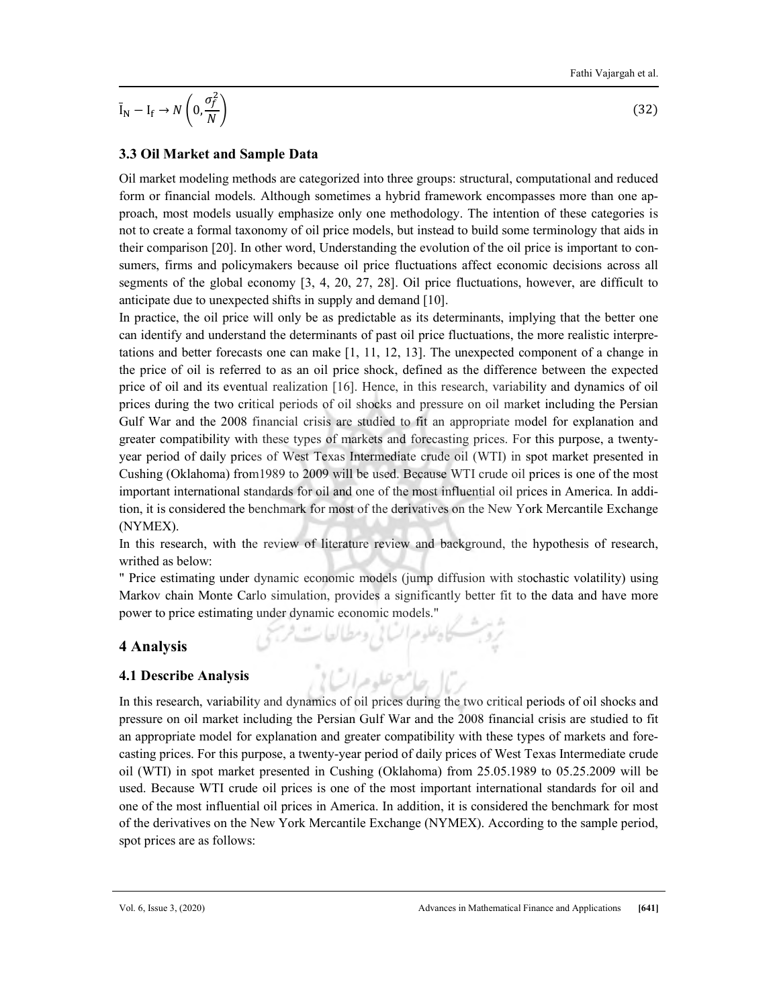$$
\overline{\mathbf{I}}_{N} - \mathbf{I}_{\mathbf{f}} \rightarrow N\left(0, \frac{\sigma_{f}^{2}}{N}\right)
$$

 $\left(32\right)$ 

# 3.3 Oil Market and Sample Data

Oil market modeling methods are categorized into three groups: structural, computational and reduced form or financial models. Although sometimes a hybrid framework encompasses more than one approach, most models usually emphasize only one methodology. The intention of these categories is not to create a formal taxonomy of oil price models, but instead to build some terminology that aids in their comparison [20]. In other word, Understanding the evolution of the oil price is important to consumers, firms and policymakers because oil price fluctuations affect economic decisions across all segments of the global economy [3, 4, 20, 27, 28]. Oil price fluctuations, however, are difficult to anticipate due to unexpected shifts in supply and demand [10].

In practice, the oil price will only be as predictable as its determinants, implying that the better one can identify and understand the determinants of past oil price fluctuations, the more realistic interpretations and better forecasts one can make [1, 11, 12, 13]. The unexpected component of a change in the price of oil is referred to as an oil price shock, defined as the difference between the expected price of oil and its eventual realization [16]. Hence, in this research, variability and dynamics of oil prices during the two critical periods of oil shocks and pressure on oil market including the Persian Gulf War and the 2008 financial crisis are studied to fit an appropriate model for explanation and greater compatibility with these types of markets and forecasting prices. For this purpose, a twentyyear period of daily prices of West Texas Intermediate crude oil (WTI) in spot market presented in Cushing (Oklahoma) from1989 to 2009 will be used. Because WTI crude oil prices is one of the most important international standards for oil and one of the most influential oil prices in America. In addition, it is considered the benchmark for most of the derivatives on the New York Mercantile Exchange (NYMEX).

In this research, with the review of literature review and background, the hypothesis of research, writhed as below:

" Price estimating under dynamic economic models (jump diffusion with stochastic volatility) using Markov chain Monte Carlo simulation, provides a significantly better fit to the data and have more power to price estimating under dynamic economic models."

تروبت كاه علوم السائي ومطالعات فريحي

بربال جلاسع علوم اتسابي

# 4 Analysis

## 4.1 Describe Analysis

In this research, variability and dynamics of oil prices during the two critical periods of oil shocks and pressure on oil market including the Persian Gulf War and the 2008 financial crisis are studied to fit an appropriate model for explanation and greater compatibility with these types of markets and forecasting prices. For this purpose, a twenty-year period of daily prices of West Texas Intermediate crude oil (WTI) in spot market presented in Cushing (Oklahoma) from 25.05.1989 to 05.25.2009 will be used. Because WTI crude oil prices is one of the most important international standards for oil and one of the most influential oil prices in America. In addition, it is considered the benchmark for most of the derivatives on the New York Mercantile Exchange (NYMEX). According to the sample period, spot prices are as follows: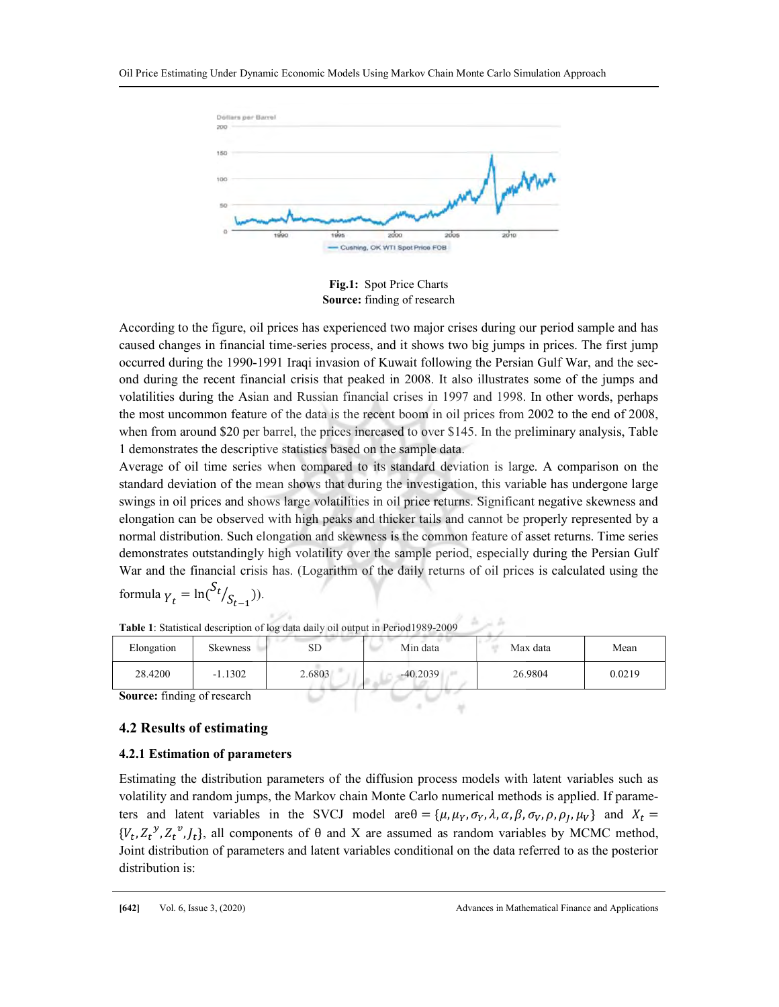

Fig.1: Spot Price Charts Source: finding of research

According to the figure, oil prices has experienced two major crises during our period sample and has caused changes in financial time-series process, and it shows two big jumps in prices. The first jump occurred during the 1990-1991 Iraqi invasion of Kuwait following the Persian Gulf War, and the second during the recent financial crisis that peaked in 2008. It also illustrates some of the jumps and volatilities during the Asian and Russian financial crises in 1997 and 1998. In other words, perhaps the most uncommon feature of the data is the recent boom in oil prices from 2002 to the end of 2008, when from around \$20 per barrel, the prices increased to over \$145. In the preliminary analysis, Table 1 demonstrates the descriptive statistics based on the sample data.

Average of oil time series when compared to its standard deviation is large. A comparison on the standard deviation of the mean shows that during the investigation, this variable has undergone large swings in oil prices and shows large volatilities in oil price returns. Significant negative skewness and elongation can be observed with high peaks and thicker tails and cannot be properly represented by a normal distribution. Such elongation and skewness is the common feature of asset returns. Time series demonstrates outstandingly high volatility over the sample period, especially during the Persian Gulf War and the financial crisis has. (Logarithm of the daily returns of oil prices is calculated using the

formula 
$$
\gamma_t = \ln(\frac{S_t}{S_{t-1}})
$$
).

| Elongation                         | <b>Skewness</b> | SD     | Min data   | Max data | Mean   |
|------------------------------------|-----------------|--------|------------|----------|--------|
| 28.4200                            | $-1.1302$       | 2.6803 | $-40.2039$ | 26.9804  | 0.0219 |
| <b>Source:</b> finding of research |                 |        |            |          |        |

Table 1: Statistical description of log data daily oil output in Period1989-2009

## 4.2 Results of estimating

## 4.2.1 Estimation of parameters

Estimating the distribution parameters of the diffusion process models with latent variables such as volatility and random jumps, the Markov chain Monte Carlo numerical methods is applied. If parameters and latent variables in the SVCJ model are  $\theta = {\mu, \mu_Y, \sigma_Y, \lambda, \alpha, \beta, \sigma_V, \rho, \rho_J, \mu_V}$  and  $X_t =$  ${V_t, Z_t^y, Z_t^v, J_t}$ , all components of  $\theta$  and X are assumed as random variables by MCMC method, Joint distribution of parameters and latent variables conditional on the data referred to as the posterior distribution is: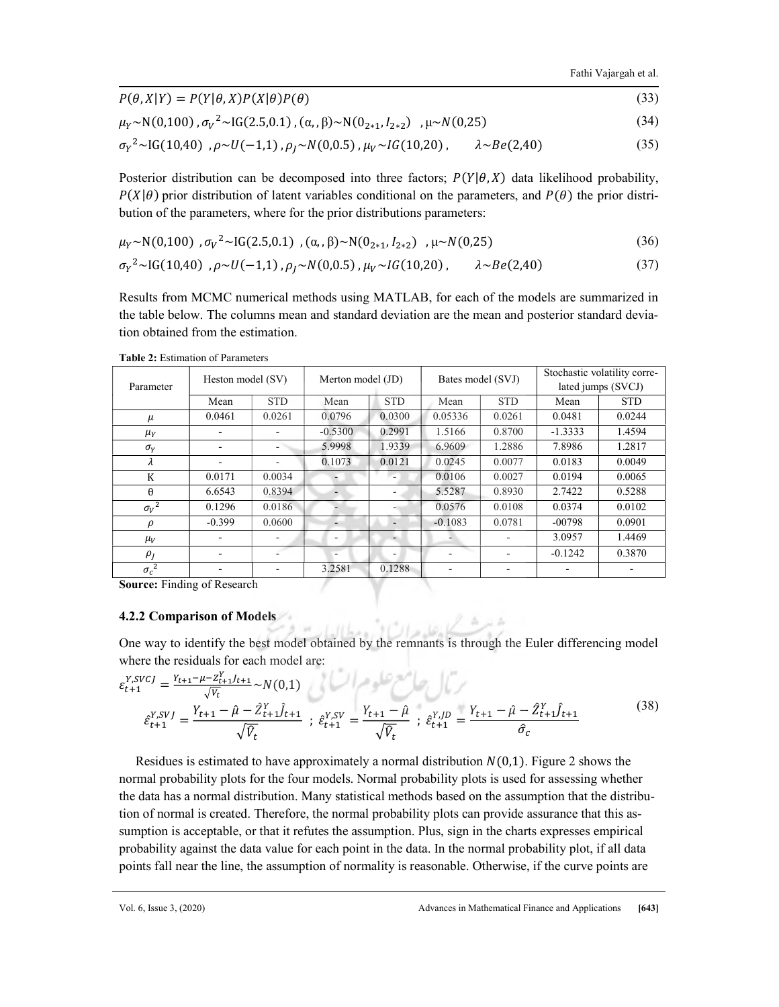$P(\theta, X|Y) = P(Y|\theta, X)P(X|\theta)P(\theta)$  (33)  $\mu \sim N(0.25)$  (34)

$$
\mu_Y \sim N(0,100), \sigma_V^2 \sim IG(2.5,0.1), (\alpha, \beta) \sim N(0_{2*1}, I_{2*2}), \mu \sim N(0,25)
$$
 (34)

$$
\sigma_Y^2 \sim \text{IG}(10,40), \rho \sim U(-1,1), \rho_J \sim N(0,0.5), \mu_V \sim IG(10,20), \qquad \lambda \sim Be(2,40) \tag{35}
$$

Posterior distribution can be decomposed into three factors;  $P(Y|\theta, X)$  data likelihood probability,  $P(X|\theta)$  prior distribution of latent variables conditional on the parameters, and  $P(\theta)$  the prior distribution of the parameters, where for the prior distributions parameters:

$$
\mu_Y \sim N(0,100) , \sigma_V^2 \sim IG(2.5,0.1) , (\alpha, \beta) \sim N(0_{2*1}, I_{2*2}) , \mu \sim N(0,25)
$$
 (36)

$$
\sigma_Y^2 \sim \text{IG}(10,40), \rho \sim U(-1,1), \rho_J \sim N(0,0.5), \mu_V \sim IG(10,20), \qquad \lambda \sim Be(2,40) \tag{37}
$$

Results from MCMC numerical methods using MATLAB, for each of the models are summarized in the table below. The columns mean and standard deviation are the mean and posterior standard deviation obtained from the estimation.

|                   |               |                          |                          |                   |              | Stochastic volatility corre- |            |
|-------------------|---------------|--------------------------|--------------------------|-------------------|--------------|------------------------------|------------|
| Heston model (SV) |               | Merton model (JD)        |                          | Bates model (SVJ) |              | lated jumps (SVCJ)           |            |
| Mean              | <b>STD</b>    | Mean                     | <b>STD</b>               | Mean              | <b>STD</b>   | Mean                         | <b>STD</b> |
| 0.0461            | 0.0261        | 0.0796                   | 0.0300                   | 0.05336           | 0.0261       | 0.0481                       | 0.0244     |
|                   |               | $-0.5300$                | 0.2991                   | 1.5166            | 0.8700       | $-1.3333$                    | 1.4594     |
|                   |               | 5.9998                   | 1.9339                   | 6.9609            | 1.2886       | 7.8986                       | 1.2817     |
|                   | ۰             | 0.1073                   | 0.0121                   | 0.0245            | 0.0077       | 0.0183                       | 0.0049     |
| 0.0171            | 0.0034        |                          |                          | 0.0106            | 0.0027       | 0.0194                       | 0.0065     |
| 6.6543            | 0.8394        | $\overline{\phantom{a}}$ |                          | 5.5287            | 0.8930       | 2.7422                       | 0.5288     |
| 0.1296            | 0.0186        |                          |                          | 0.0576            | 0.0108       | 0.0374                       | 0.0102     |
| $-0.399$          | 0.0600        | $\overline{\phantom{0}}$ |                          | $-0.1083$         | 0.0781       | $-00798$                     | 0.0901     |
|                   | -             | ٠                        | $\overline{\phantom{0}}$ |                   |              | 3.0957                       | 1.4469     |
|                   |               | ۰                        | ٠                        |                   |              | $-0.1242$                    | 0.3870     |
|                   | ۰             | 3.2581                   | 0.1288                   |                   | -            |                              |            |
|                   | $\sim$ $\sim$ |                          |                          |                   | $\mathbf{1}$ |                              |            |

Table 2: Estimation of Parameters

Source: Finding of Research

#### 4.2.2 Comparison of Models

One way to identify the best model obtained by the remnants is through the Euler differencing model where the residuals for each model are:

$$
\varepsilon_{t+1}^{Y,SVCJ} = \frac{Y_{t+1} - \mu - Z_{t+1}^Y f_{t+1}}{\sqrt{V_t}} \sim N(0,1)
$$
\n
$$
\varepsilon_{t+1}^{Y,SVJ} = \frac{Y_{t+1} - \hat{\mu} - \hat{Z}_{t+1}^Y \hat{f}_{t+1}}{\sqrt{\hat{V}_t}} \; ; \; \varepsilon_{t+1}^{Y,SV} = \frac{Y_{t+1} - \hat{\mu}}{\sqrt{\hat{V}_t}} \; ; \; \varepsilon_{t+1}^{Y,D} = \frac{Y_{t+1} - \hat{\mu} - \hat{Z}_{t+1}^Y \hat{f}_{t+1}}{\hat{\sigma}_c}
$$
\n
$$
(38)
$$

Residues is estimated to have approximately a normal distribution  $N(0,1)$ . Figure 2 shows the normal probability plots for the four models. Normal probability plots is used for assessing whether the data has a normal distribution. Many statistical methods based on the assumption that the distribution of normal is created. Therefore, the normal probability plots can provide assurance that this assumption is acceptable, or that it refutes the assumption. Plus, sign in the charts expresses empirical probability against the data value for each point in the data. In the normal probability plot, if all data points fall near the line, the assumption of normality is reasonable. Otherwise, if the curve points are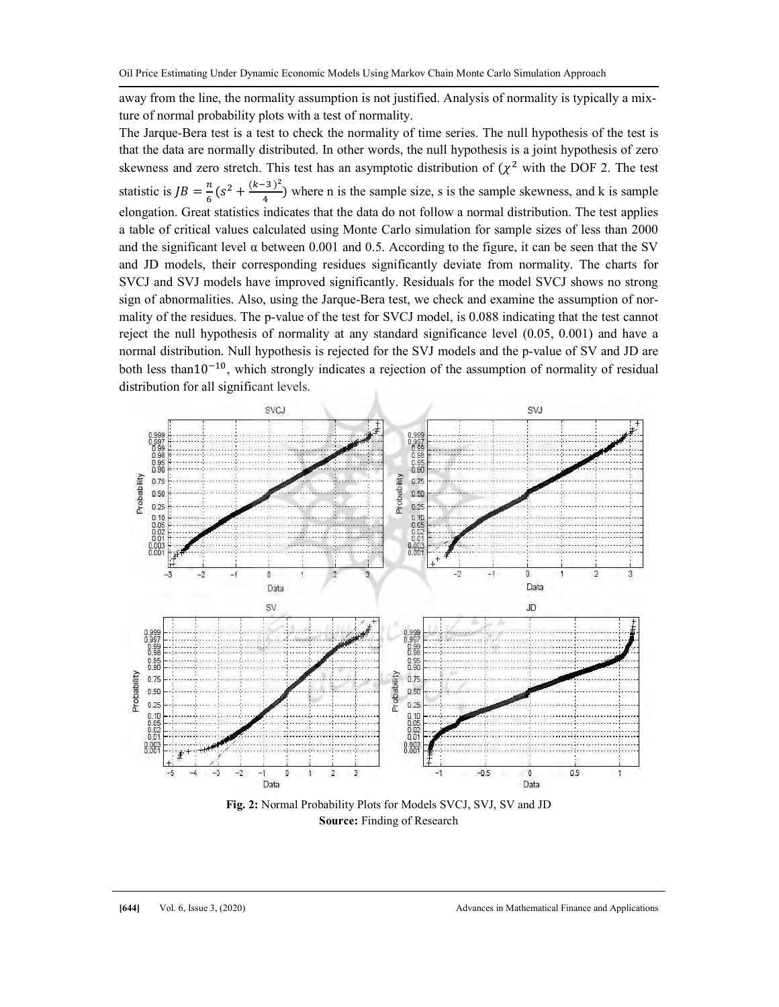away from the line, the normality assumption is not justified. Analysis of normality is typically a mixture of normal probability plots with a test of normality.

The Jarque-Bera test is a test to check the normality of time series. The null hypothesis of the test is that the data are normally distributed. In other words, the null hypothesis is a joint hypothesis of zero skewness and zero stretch. This test has an asymptotic distribution of  $(\chi^2$  with the DOF 2. The test statistic is  $JB = \frac{n}{6} (s^2 + \frac{(k-3)^2}{4})$  $\frac{3}{4}$ ) where n is the sample size, s is the sample skewness, and k is sample elongation. Great statistics indicates that the data do not follow a normal distribution. The test applies a table of critical values calculated using Monte Carlo simulation for sample sizes of less than 2000 and the significant level  $\alpha$  between 0.001 and 0.5. According to the figure, it can be seen that the SV and JD models, their corresponding residues significantly deviate from normality. The charts for SVCJ and SVJ models have improved significantly. Residuals for the model SVCJ shows no strong sign of abnormalities. Also, using the Jarque-Bera test, we check and examine the assumption of normality of the residues. The p-value of the test for SVCJ model, is 0.088 indicating that the test cannot reject the null hypothesis of normality at any standard significance level (0.05, 0.001) and have a normal distribution. Null hypothesis is rejected for the SVJ models and the p-value of SV and JD are both less than10<sup> $-10$ </sup>, which strongly indicates a rejection of the assumption of normality of residual distribution for all significant levels.



Source: Finding of Research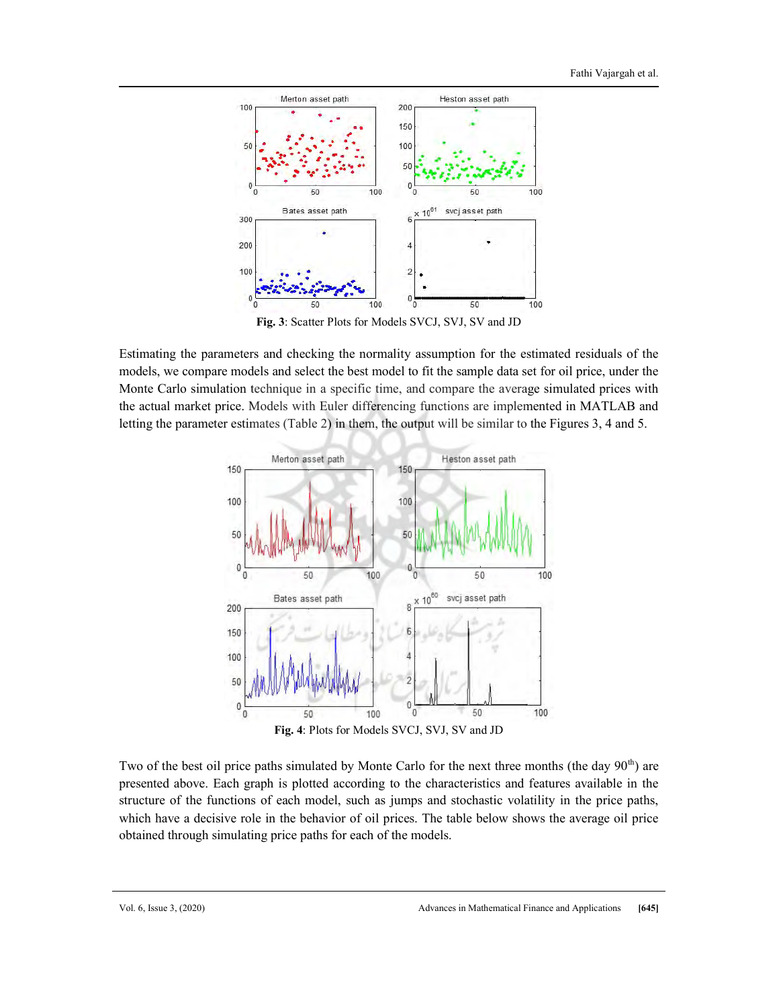

Fig. 3: Scatter Plots for Models SVCJ, SVJ, SV and JD

Estimating the parameters and checking the normality assumption for the estimated residuals of the models, we compare models and select the best model to fit the sample data set for oil price, under the Monte Carlo simulation technique in a specific time, and compare the average simulated prices with the actual market price. Models with Euler differencing functions are implemented in MATLAB and letting the parameter estimates (Table 2) in them, the output will be similar to the Figures 3, 4 and 5.



Two of the best oil price paths simulated by Monte Carlo for the next three months (the day  $90<sup>th</sup>$ ) are presented above. Each graph is plotted according to the characteristics and features available in the structure of the functions of each model, such as jumps and stochastic volatility in the price paths, which have a decisive role in the behavior of oil prices. The table below shows the average oil price obtained through simulating price paths for each of the models.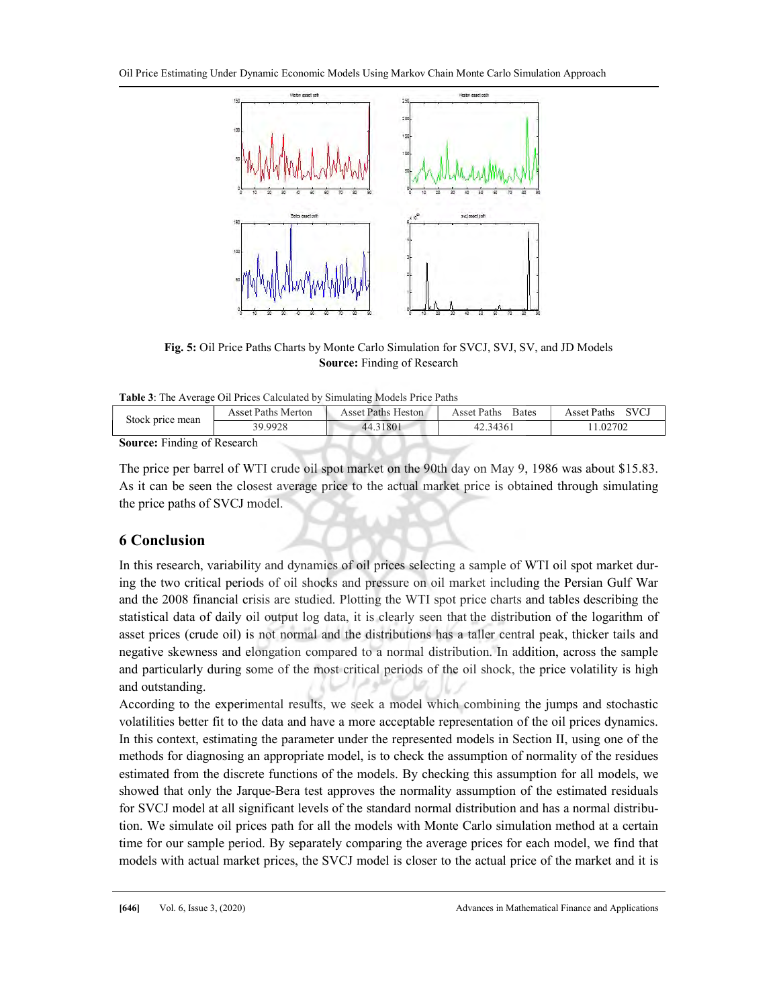Oil Price Estimating Under Dynamic Economic Models Using Markov Chain Monte Carlo Simulation Approach



Fig. 5: Oil Price Paths Charts by Monte Carlo Simulation for SVCJ, SVJ, SV, and JD Models Source: Finding of Research

| Table 3: The Average Oil Prices Calculated by Simulating Models Price Paths |  |  |
|-----------------------------------------------------------------------------|--|--|
|                                                                             |  |  |

| Stock price mean                   | Asset Paths Merton | Asset Paths Heston | Asset Paths<br><b>Bates</b> | <b>SVCJ</b><br>Asset Paths |
|------------------------------------|--------------------|--------------------|-----------------------------|----------------------------|
|                                    | 39.9928            | 44.31801           | 42.34361                    | 1.02702                    |
| <b>Source:</b> Finding of Research |                    |                    |                             |                            |

The price per barrel of WTI crude oil spot market on the 90th day on May 9, 1986 was about \$15.83. As it can be seen the closest average price to the actual market price is obtained through simulating the price paths of SVCJ model.

# 6 Conclusion

In this research, variability and dynamics of oil prices selecting a sample of WTI oil spot market during the two critical periods of oil shocks and pressure on oil market including the Persian Gulf War and the 2008 financial crisis are studied. Plotting the WTI spot price charts and tables describing the statistical data of daily oil output log data, it is clearly seen that the distribution of the logarithm of asset prices (crude oil) is not normal and the distributions has a taller central peak, thicker tails and negative skewness and elongation compared to a normal distribution. In addition, across the sample and particularly during some of the most critical periods of the oil shock, the price volatility is high and outstanding.

According to the experimental results, we seek a model which combining the jumps and stochastic volatilities better fit to the data and have a more acceptable representation of the oil prices dynamics. In this context, estimating the parameter under the represented models in Section II, using one of the methods for diagnosing an appropriate model, is to check the assumption of normality of the residues estimated from the discrete functions of the models. By checking this assumption for all models, we showed that only the Jarque-Bera test approves the normality assumption of the estimated residuals for SVCJ model at all significant levels of the standard normal distribution and has a normal distribution. We simulate oil prices path for all the models with Monte Carlo simulation method at a certain time for our sample period. By separately comparing the average prices for each model, we find that models with actual market prices, the SVCJ model is closer to the actual price of the market and it is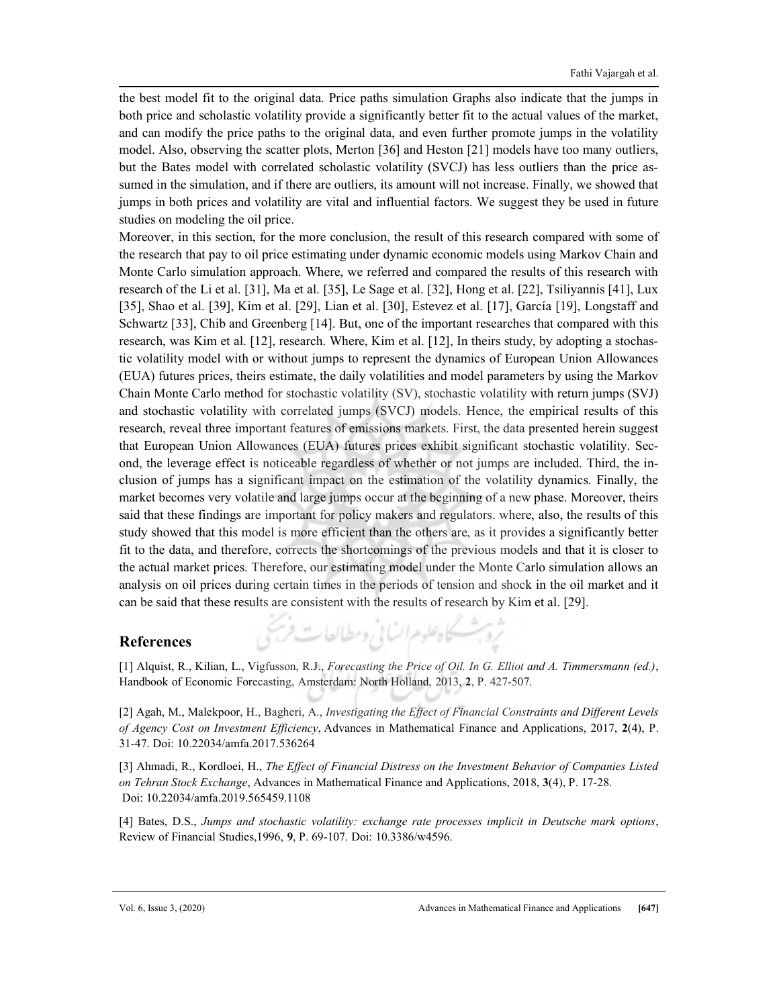the best model fit to the original data. Price paths simulation Graphs also indicate that the jumps in both price and scholastic volatility provide a significantly better fit to the actual values of the market, and can modify the price paths to the original data, and even further promote jumps in the volatility model. Also, observing the scatter plots, Merton [36] and Heston [21] models have too many outliers, but the Bates model with correlated scholastic volatility (SVCJ) has less outliers than the price assumed in the simulation, and if there are outliers, its amount will not increase. Finally, we showed that jumps in both prices and volatility are vital and influential factors. We suggest they be used in future studies on modeling the oil price.

Moreover, in this section, for the more conclusion, the result of this research compared with some of the research that pay to oil price estimating under dynamic economic models using Markov Chain and Monte Carlo simulation approach. Where, we referred and compared the results of this research with research of the Li et al. [31], Ma et al. [35], Le Sage et al. [32], Hong et al. [22], Tsiliyannis [41], Lux [35], Shao et al. [39], Kim et al. [29], Lian et al. [30], Estevez et al. [17], García [19], Longstaff and Schwartz [33], Chib and Greenberg [14]. But, one of the important researches that compared with this research, was Kim et al. [12], research. Where, Kim et al. [12], In theirs study, by adopting a stochastic volatility model with or without jumps to represent the dynamics of European Union Allowances (EUA) futures prices, theirs estimate, the daily volatilities and model parameters by using the Markov Chain Monte Carlo method for stochastic volatility (SV), stochastic volatility with return jumps (SVJ) and stochastic volatility with correlated jumps (SVCJ) models. Hence, the empirical results of this research, reveal three important features of emissions markets. First, the data presented herein suggest that European Union Allowances (EUA) futures prices exhibit significant stochastic volatility. Second, the leverage effect is noticeable regardless of whether or not jumps are included. Third, the inclusion of jumps has a significant impact on the estimation of the volatility dynamics. Finally, the market becomes very volatile and large jumps occur at the beginning of a new phase. Moreover, theirs said that these findings are important for policy makers and regulators. where, also, the results of this study showed that this model is more efficient than the others are, as it provides a significantly better fit to the data, and therefore, corrects the shortcomings of the previous models and that it is closer to the actual market prices. Therefore, our estimating model under the Monte Carlo simulation allows an analysis on oil prices during certain times in the periods of tension and shock in the oil market and it can be said that these results are consistent with the results of research by Kim et al. [29].

## References

[1] Alquist, R., Kilian, L., Vigfusson, R.J., Forecasting the Price of Oil. In G. Elliot and A. Timmersmann (ed.), Handbook of Economic Forecasting, Amsterdam: North Holland, 2013, 2, P. 427-507.

ثروث كاهلوم السابي ومطالعات فريجي

[2] Agah, M., Malekpoor, H., Bagheri, A., Investigating the Effect of Financial Constraints and Different Levels of Agency Cost on Investment Efficiency, Advances in Mathematical Finance and Applications, 2017, 2(4), P. 31-47. Doi: 10.22034/amfa.2017.536264

[3] Ahmadi, R., Kordloei, H., The Effect of Financial Distress on the Investment Behavior of Companies Listed on Tehran Stock Exchange, Advances in Mathematical Finance and Applications, 2018, 3(4), P. 17-28. Doi: 10.22034/amfa.2019.565459.1108

[4] Bates, D.S., Jumps and stochastic volatility: exchange rate processes implicit in Deutsche mark options, Review of Financial Studies,1996, 9, P. 69-107. Doi: 10.3386/w4596.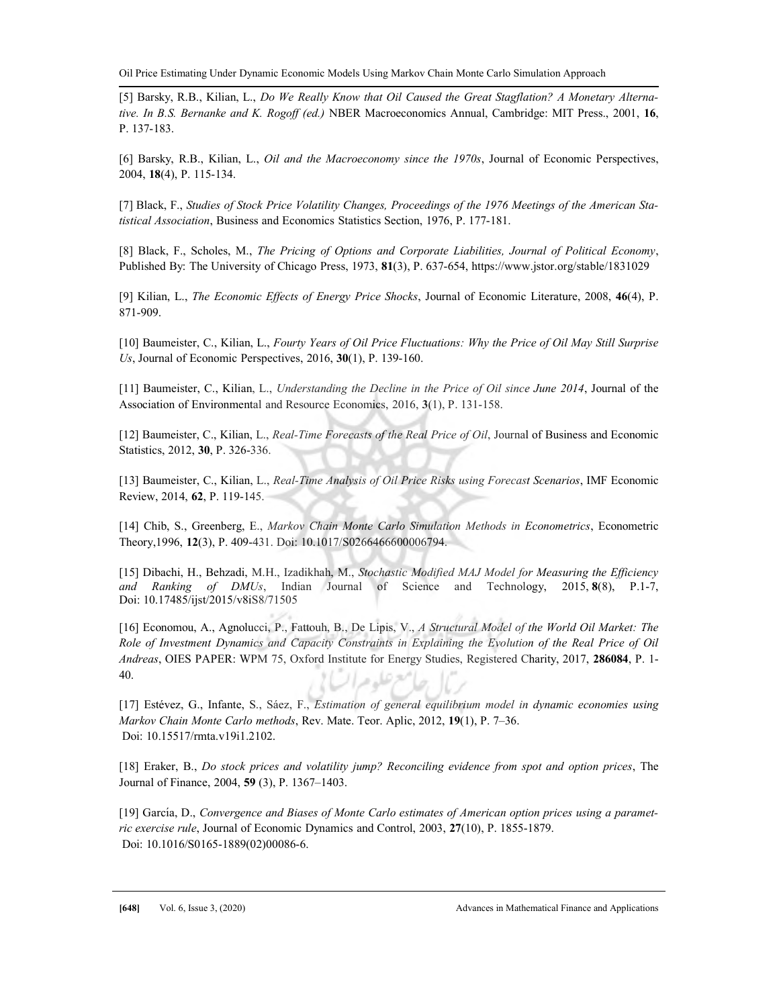[5] Barsky, R.B., Kilian, L., Do We Really Know that Oil Caused the Great Stagflation? A Monetary Alternative. In B.S. Bernanke and K. Rogoff (ed.) NBER Macroeconomics Annual, Cambridge: MIT Press., 2001, 16, P. 137-183.

[6] Barsky, R.B., Kilian, L., Oil and the Macroeconomy since the 1970s, Journal of Economic Perspectives, 2004, 18(4), P. 115-134.

[7] Black, F., Studies of Stock Price Volatility Changes, Proceedings of the 1976 Meetings of the American Statistical Association, Business and Economics Statistics Section, 1976, P. 177-181.

[8] Black, F., Scholes, M., The Pricing of Options and Corporate Liabilities, Journal of Political Economy, Published By: The University of Chicago Press, 1973, 81(3), P. 637-654, https://www.jstor.org/stable/1831029

[9] Kilian, L., The Economic Effects of Energy Price Shocks, Journal of Economic Literature, 2008, 46(4), P. 871-909.

[10] Baumeister, C., Kilian, L., Fourty Years of Oil Price Fluctuations: Why the Price of Oil May Still Surprise Us, Journal of Economic Perspectives,  $2016$ ,  $30(1)$ , P. 139-160.

[11] Baumeister, C., Kilian, L., Understanding the Decline in the Price of Oil since June 2014, Journal of the Association of Environmental and Resource Economics, 2016, 3(1), P. 131-158.

[12] Baumeister, C., Kilian, L., Real-Time Forecasts of the Real Price of Oil, Journal of Business and Economic Statistics, 2012, 30, P. 326-336.

[13] Baumeister, C., Kilian, L., Real-Time Analysis of Oil Price Risks using Forecast Scenarios, IMF Economic Review, 2014, 62, P. 119-145.

[14] Chib, S., Greenberg, E., Markov Chain Monte Carlo Simulation Methods in Econometrics, Econometric Theory,1996, 12(3), P. 409-431. Doi: 10.1017/S0266466600006794.

[15] Dibachi, H., Behzadi, M.H., Izadikhah, M., Stochastic Modified MAJ Model for Measuring the Efficiency and Ranking of DMUs, Indian Journal of Science and Technology, 2015, 8(8), P.1-7, Doi: 10.17485/ijst/2015/v8iS8/71505

[16] Economou, A., Agnolucci, P., Fattouh, B., De Lipis, V., A Structural Model of the World Oil Market: The Role of Investment Dynamics and Capacity Constraints in Explaining the Evolution of the Real Price of Oil Andreas, OIES PAPER: WPM 75, Oxford Institute for Energy Studies, Registered Charity, 2017, 286084, P. 1-40. تعرصوه ميرا

[17] Estévez, G., Infante, S., Sáez, F., Estimation of general equilibrium model in dynamic economies using Markov Chain Monte Carlo methods, Rev. Mate. Teor. Aplic, 2012, 19(1), P. 7–36. Doi: 10.15517/rmta.v19i1.2102.

[18] Eraker, B., Do stock prices and volatility jump? Reconciling evidence from spot and option prices, The Journal of Finance, 2004, 59 (3), P. 1367–1403.

[19] García, D., Convergence and Biases of Monte Carlo estimates of American option prices using a parametric exercise rule, Journal of Economic Dynamics and Control, 2003, 27(10), P. 1855-1879. Doi: 10.1016/S0165-1889(02)00086-6.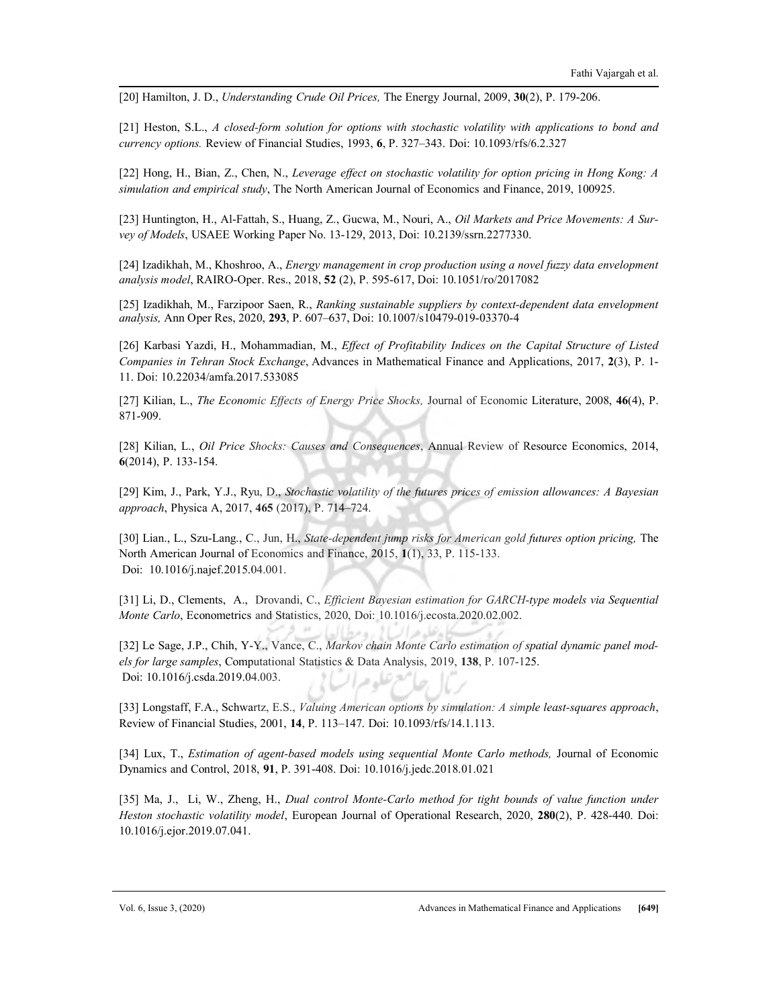[20] Hamilton, J. D., *Understanding Crude Oil Prices*, The Energy Journal, 2009, 30(2), P. 179-206.

[21] Heston, S.L., A closed-form solution for options with stochastic volatility with applications to bond and currency options. Review of Financial Studies, 1993, 6, P. 327–343. Doi: 10.1093/rfs/6.2.327

[22] Hong, H., Bian, Z., Chen, N., Leverage effect on stochastic volatility for option pricing in Hong Kong: A simulation and empirical study, The North American Journal of Economics and Finance, 2019, 100925.

[23] Huntington, H., Al-Fattah, S., Huang, Z., Gucwa, M., Nouri, A., Oil Markets and Price Movements: A Survey of Models, USAEE Working Paper No. 13-129, 2013, Doi: 10.2139/ssrn.2277330.

[24] Izadikhah, M., Khoshroo, A., Energy management in crop production using a novel fuzzy data envelopment analysis model, RAIRO-Oper. Res., 2018, 52 (2), P. 595-617, Doi: 10.1051/ro/2017082

[25] Izadikhah, M., Farzipoor Saen, R., Ranking sustainable suppliers by context-dependent data envelopment analysis, Ann Oper Res, 2020, 293, P. 607–637, Doi: 10.1007/s10479-019-03370-4

[26] Karbasi Yazdi, H., Mohammadian, M., Effect of Profitability Indices on the Capital Structure of Listed Companies in Tehran Stock Exchange, Advances in Mathematical Finance and Applications, 2017, 2(3), P. 1-11. Doi: 10.22034/amfa.2017.533085

[27] Kilian, L., The Economic Effects of Energy Price Shocks, Journal of Economic Literature, 2008, 46(4), P. 871-909.

[28] Kilian, L., Oil Price Shocks: Causes and Consequences, Annual Review of Resource Economics, 2014, 6(2014), P. 133-154.

[29] Kim, J., Park, Y.J., Ryu, D., Stochastic volatility of the futures prices of emission allowances: A Bayesian approach, Physica A, 2017, 465 (2017), P. 714–724.

[30] Lian., L., Szu-Lang., C., Jun, H., State-dependent jump risks for American gold futures option pricing, The North American Journal of Economics and Finance, 2015, 1(1), 33, P. 115-133. Doi: 10.1016/j.najef.2015.04.001.

[31] Li, D., Clements, A., Drovandi, C., Efficient Bayesian estimation for GARCH-type models via Sequential Monte Carlo, Econometrics and Statistics, 2020, Doi: 10.1016/j.ecosta.2020.02.002.

[32] Le Sage, J.P., Chih, Y-Y., Vance, C., Markov chain Monte Carlo estimation of spatial dynamic panel models for large samples, Computational Statistics & Data Analysis, 2019, 138, P. 107-125. Doi: 10.1016/j.csda.2019.04.003. معرعله مرا

[33] Longstaff, F.A., Schwartz, E.S., Valuing American options by simulation: A simple least-squares approach, Review of Financial Studies, 2001, 14, P. 113–147. Doi: 10.1093/rfs/14.1.113.

[34] Lux, T., Estimation of agent-based models using sequential Monte Carlo methods, Journal of Economic Dynamics and Control, 2018, 91, P. 391-408. Doi: 10.1016/j.jedc.2018.01.021

[35] Ma, J., Li, W., Zheng, H., Dual control Monte-Carlo method for tight bounds of value function under Heston stochastic volatility model, European Journal of Operational Research, 2020, 280(2), P. 428-440. Doi: 10.1016/j.ejor.2019.07.041.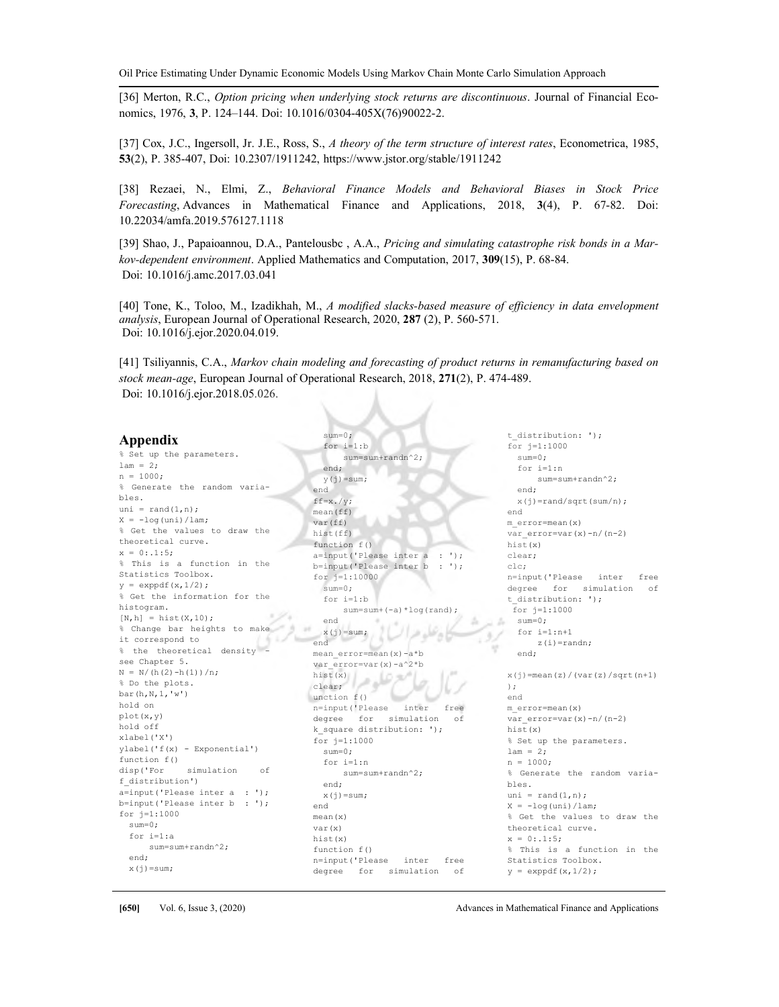Oil Price Estimating Under Dynamic Economic Models Using Markov Chain Monte Carlo Simulation Approach

[36] Merton, R.C., Option pricing when underlying stock returns are discontinuous. Journal of Financial Economics, 1976, 3, P. 124–144. Doi: 10.1016/0304-405X(76)90022-2.

[37] Cox, J.C., Ingersoll, Jr. J.E., Ross, S., A theory of the term structure of interest rates, Econometrica, 1985, 53(2), P. 385-407, Doi: 10.2307/1911242, https://www.jstor.org/stable/1911242

[38] Rezaei, N., Elmi, Z., Behavioral Finance Models and Behavioral Biases in Stock Price Forecasting, Advances in Mathematical Finance and Applications, 2018, 3(4), P. 67-82. Doi: 10.22034/amfa.2019.576127.1118

[39] Shao, J., Papaioannou, D.A., Pantelousbc, A.A., Pricing and simulating catastrophe risk bonds in a Markov-dependent environment. Applied Mathematics and Computation, 2017, 309(15), P. 68-84. Doi: 10.1016/j.amc.2017.03.041

[40] Tone, K., Toloo, M., Izadikhah, M., A modified slacks-based measure of efficiency in data envelopment analysis, European Journal of Operational Research, 2020, 287 (2), P. 560-571. Doi: 10.1016/j.ejor.2020.04.019.

[41] Tsiliyannis, C.A., Markov chain modeling and forecasting of product returns in remanufacturing based on stock mean-age, European Journal of Operational Research, 2018, 271(2), P. 474-489. Doi: 10.1016/j.ejor.2018.05.026.

sum=0;

#### Appendix

% Set up the parameters.  $lam = 2;$ n = 1000; % Generate the random variables. uni = rand $(1, n)$ ;  $X = -log(uni)/lam;$ % Get the values to draw the theoretical curve.  $x = 0: .1:5;$ % This is a function in the Statistics Toolbox.  $v =$ exppdf(x, 1/2): % Get the information for the histogram.  $[N,h] = \text{hist}(X,10);$ % Change bar heights to make it correspond to 上海 % the theoretical density see Chapter 5.  $N = N/(h(2)-h(1))/n$ ; % Do the plots. bar(h,N,1,'w') hold on plot(x,y) hold off xlabel('X') ylabel('f(x) - Exponential') function f() disp('For simulation of f\_distribution') a=input('Please inter a : '); b=input('Please inter b : '); for j=1:1000 sum=0; for i=1:a sum=sum+randn^2; end;  $x(j)=sum;$ 

 for i=1:b sum=sum+randn^2; end;  $y(j)=sum;$ end  $ff=x.$ /y; mean(ff) var(ff) hist(ff) function f() a=input('Please inter a : '); b=input('Please inter b : '); for j=1:10000 sum=0; for  $i=1 \cdot h$ sum=sum+(-a)\*log(rand); end  $x(j)$ =sum; end

mean error=mean(x)-a\*b var\_error=var(x)-a^2\*b<br>hist(x)<br>clear; hist(x) clear; unction  $f()$ سنا n=input('Please inter free degree for simulation of k square distribution: '); for j=1:1000 sum=0; for i=1:n sum=sum+randn^2; end;  $x(i)$ =sum; end mean(x) var(x) hist(x) function f() n=input('Please inter free degree for simulation of

t distribution: '); for j=1:1000 sum=0; for i=1:n sum=sum+randn^2; end;  $x(j)$ =rand/sqrt(sum/n); end m\_error=mean(x) var error=var(x)-n/(n-2) hist(x) clear; clc; n=input('Please inter free degree for simulation of t\_distribution: '); for j=1:1000 sum=0; for i=1:n+1 z(i)=randn; end;  $x(i)$ =mean(z)/(var(z)/sqrt(n+1) ); end m\_error=mean(x) var  $error=var(x)-n/(n-2)$ hist(x) % Set up the parameters.  $lam = 2;$ n = 1000; % Generate the random variables. uni =  $\text{rand}(1,n)$ ;  $X = -log(uni)/lam;$ % Get the values to draw the theoretical curve.  $x = 0: .1:5;$ % This is a function in the Statistics Toolbox.  $y = exppdf(x, 1/2)$ ;

 $\pm$  /

w

[650] Vol. 6, Issue 3, (2020) Advances in Mathematical Finance and Applications